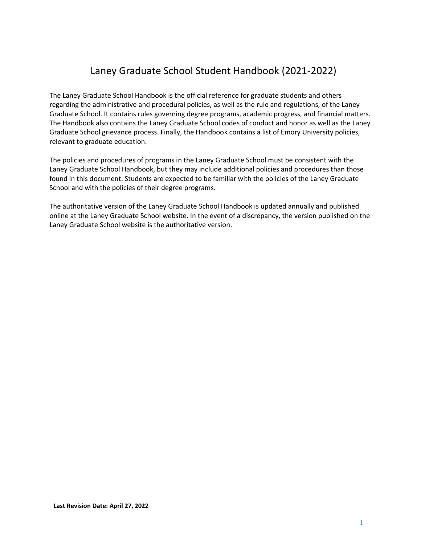## Laney Graduate School Student Handbook (2021-2022)

The Laney Graduate School Handbook is the official reference for graduate students and others regarding the administrative and procedural policies, as well as the rule and regulations, of the Laney Graduate School. It contains rules governing degree programs, academic progress, and financial matters. The Handbook also contains the Laney Graduate School codes of conduct and honor as well as the Laney Graduate School grievance process. Finally, the Handbook contains a list of Emory University policies, relevant to graduate education.

The policies and procedures of programs in the Laney Graduate School must be consistent with the Laney Graduate School Handbook, but they may include additional policies and procedures than those found in this document. Students are expected to be familiar with the policies of the Laney Graduate School and with the policies of their degree programs.

The authoritative version of the Laney Graduate School Handbook is updated annually and published online at the Laney Graduate School website. In the event of a discrepancy, the version published on the Laney Graduate School website is the authoritative version.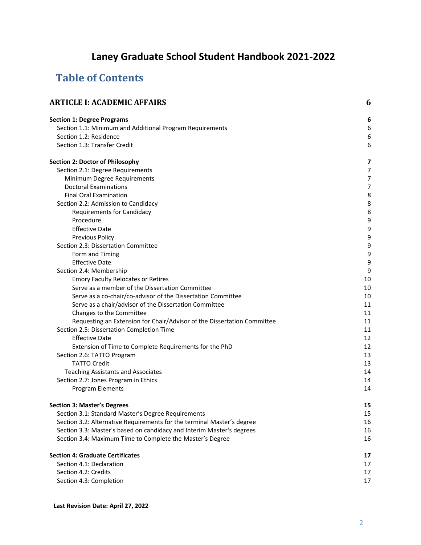# **Laney Graduate School Student Handbook 2021-2022**

## **Table of Contents**

| <b>ARTICLE I: ACADEMIC AFFAIRS</b>                                      |    |
|-------------------------------------------------------------------------|----|
| <b>Section 1: Degree Programs</b>                                       | 6  |
| Section 1.1: Minimum and Additional Program Requirements                | 6  |
| Section 1.2: Residence                                                  | 6  |
| Section 1.3: Transfer Credit                                            | 6  |
| <b>Section 2: Doctor of Philosophy</b>                                  | 7  |
| Section 2.1: Degree Requirements                                        | 7  |
| Minimum Degree Requirements                                             | 7  |
| <b>Doctoral Examinations</b>                                            | 7  |
| <b>Final Oral Examination</b>                                           | 8  |
| Section 2.2: Admission to Candidacy                                     | 8  |
| <b>Requirements for Candidacy</b>                                       | 8  |
| Procedure                                                               | 9  |
| <b>Effective Date</b>                                                   | 9  |
| <b>Previous Policy</b>                                                  | 9  |
| Section 2.3: Dissertation Committee                                     | 9  |
| Form and Timing                                                         | 9  |
| <b>Effective Date</b>                                                   | 9  |
| Section 2.4: Membership                                                 | 9  |
| <b>Emory Faculty Relocates or Retires</b>                               | 10 |
| Serve as a member of the Dissertation Committee                         | 10 |
| Serve as a co-chair/co-advisor of the Dissertation Committee            | 10 |
| Serve as a chair/advisor of the Dissertation Committee                  | 11 |
| Changes to the Committee                                                | 11 |
| Requesting an Extension for Chair/Advisor of the Dissertation Committee | 11 |
| Section 2.5: Dissertation Completion Time                               | 11 |
| <b>Effective Date</b>                                                   | 12 |
| Extension of Time to Complete Requirements for the PhD                  | 12 |
| Section 2.6: TATTO Program                                              | 13 |
| <b>TATTO Credit</b>                                                     | 13 |
| <b>Teaching Assistants and Associates</b>                               | 14 |
| Section 2.7: Jones Program in Ethics                                    | 14 |
| <b>Program Elements</b>                                                 | 14 |
| <b>Section 3: Master's Degrees</b>                                      | 15 |
| Section 3.1: Standard Master's Degree Requirements                      | 15 |
| Section 3.2: Alternative Requirements for the terminal Master's degree  | 16 |
| Section 3.3: Master's based on candidacy and Interim Master's degrees   | 16 |
| Section 3.4: Maximum Time to Complete the Master's Degree               | 16 |
| <b>Section 4: Graduate Certificates</b>                                 | 17 |
| Section 4.1: Declaration                                                | 17 |
| Section 4.2: Credits                                                    | 17 |
| Section 4.3: Completion                                                 | 17 |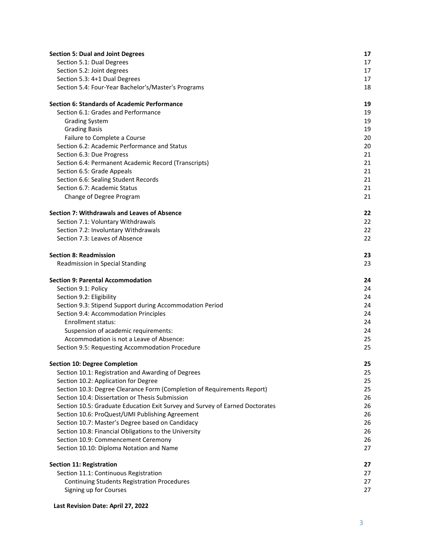| <b>Section 5: Dual and Joint Degrees</b>                                         | 17       |
|----------------------------------------------------------------------------------|----------|
| Section 5.1: Dual Degrees                                                        | 17       |
| Section 5.2: Joint degrees                                                       | 17       |
| Section 5.3: 4+1 Dual Degrees                                                    | 17       |
| Section 5.4: Four-Year Bachelor's/Master's Programs                              | 18       |
| <b>Section 6: Standards of Academic Performance</b>                              | 19       |
| Section 6.1: Grades and Performance                                              | 19       |
| <b>Grading System</b>                                                            | 19       |
| <b>Grading Basis</b>                                                             | 19       |
| Failure to Complete a Course                                                     | 20       |
| Section 6.2: Academic Performance and Status                                     | 20       |
| Section 6.3: Due Progress                                                        | 21       |
| Section 6.4: Permanent Academic Record (Transcripts)                             | 21       |
| Section 6.5: Grade Appeals                                                       | 21       |
| Section 6.6: Sealing Student Records<br>Section 6.7: Academic Status             | 21       |
|                                                                                  | 21<br>21 |
| Change of Degree Program                                                         |          |
| Section 7: Withdrawals and Leaves of Absence                                     | 22       |
| Section 7.1: Voluntary Withdrawals                                               | 22       |
| Section 7.2: Involuntary Withdrawals                                             | 22       |
| Section 7.3: Leaves of Absence                                                   | 22       |
| <b>Section 8: Readmission</b>                                                    | 23       |
| Readmission in Special Standing                                                  | 23       |
| <b>Section 9: Parental Accommodation</b>                                         | 24       |
| Section 9.1: Policy                                                              | 24       |
| Section 9.2: Eligibility                                                         | 24       |
| Section 9.3: Stipend Support during Accommodation Period                         | 24       |
| Section 9.4: Accommodation Principles                                            | 24       |
| Enrollment status:                                                               | 24       |
| Suspension of academic requirements:<br>Accommodation is not a Leave of Absence: | 24<br>25 |
| Section 9.5: Requesting Accommodation Procedure                                  | 25       |
|                                                                                  |          |
| <b>Section 10: Degree Completion</b>                                             | 25       |
| Section 10.1: Registration and Awarding of Degrees                               | 25       |
| Section 10.2: Application for Degree                                             | 25       |
| Section 10.3: Degree Clearance Form (Completion of Requirements Report)          | 25       |
| Section 10.4: Dissertation or Thesis Submission                                  | 26       |
| Section 10.5: Graduate Education Exit Survey and Survey of Earned Doctorates     | 26       |
| Section 10.6: ProQuest/UMI Publishing Agreement                                  | 26       |
| Section 10.7: Master's Degree based on Candidacy                                 | 26       |
| Section 10.8: Financial Obligations to the University                            | 26       |
| Section 10.9: Commencement Ceremony                                              | 26<br>27 |
| Section 10.10: Diploma Notation and Name                                         |          |
| <b>Section 11: Registration</b>                                                  | 27       |
| Section 11.1: Continuous Registration                                            | 27       |
| <b>Continuing Students Registration Procedures</b>                               | 27       |
| Signing up for Courses                                                           | 27       |
|                                                                                  |          |

#### **Last Revision Date: April 27, 2022**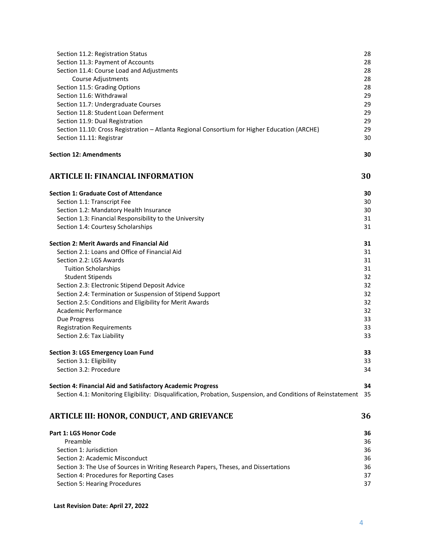| Section 11.2: Registration Status                                                                             | 28       |
|---------------------------------------------------------------------------------------------------------------|----------|
| Section 11.3: Payment of Accounts                                                                             | 28       |
| Section 11.4: Course Load and Adjustments                                                                     | 28       |
| Course Adjustments                                                                                            | 28       |
| Section 11.5: Grading Options                                                                                 | 28       |
| Section 11.6: Withdrawal                                                                                      | 29       |
| Section 11.7: Undergraduate Courses                                                                           | 29       |
| Section 11.8: Student Loan Deferment                                                                          | 29       |
| Section 11.9: Dual Registration                                                                               | 29       |
| Section 11.10: Cross Registration - Atlanta Regional Consortium for Higher Education (ARCHE)                  | 29       |
| Section 11.11: Registrar                                                                                      | 30       |
| <b>Section 12: Amendments</b>                                                                                 | 30       |
| <b>ARTICLE II: FINANCIAL INFORMATION</b>                                                                      | 30       |
| <b>Section 1: Graduate Cost of Attendance</b>                                                                 | 30       |
| Section 1.1: Transcript Fee                                                                                   | 30       |
| Section 1.2: Mandatory Health Insurance                                                                       | 30       |
| Section 1.3: Financial Responsibility to the University                                                       | 31       |
| Section 1.4: Courtesy Scholarships                                                                            | 31       |
| <b>Section 2: Merit Awards and Financial Aid</b>                                                              | 31       |
| Section 2.1: Loans and Office of Financial Aid                                                                | 31       |
| Section 2.2: LGS Awards                                                                                       | 31       |
| <b>Tuition Scholarships</b>                                                                                   | 31       |
| <b>Student Stipends</b>                                                                                       | 32       |
| Section 2.3: Electronic Stipend Deposit Advice                                                                | 32       |
| Section 2.4: Termination or Suspension of Stipend Support                                                     | 32       |
| Section 2.5: Conditions and Eligibility for Merit Awards                                                      | 32       |
| Academic Performance                                                                                          | 32       |
| Due Progress                                                                                                  | 33       |
| <b>Registration Requirements</b><br>Section 2.6: Tax Liability                                                | 33<br>33 |
|                                                                                                               |          |
| <b>Section 3: LGS Emergency Loan Fund</b>                                                                     | 33       |
| Section 3.1: Eligibility                                                                                      | 33       |
| Section 3.2: Procedure                                                                                        | 34       |
| Section 4: Financial Aid and Satisfactory Academic Progress                                                   | 34       |
| Section 4.1: Monitoring Eligibility: Disqualification, Probation, Suspension, and Conditions of Reinstatement | -35      |
| <b>ARTICLE III: HONOR, CONDUCT, AND GRIEVANCE</b>                                                             | 36       |
| Part 1: LGS Honor Code                                                                                        | 36       |
| Preamble                                                                                                      | 36       |
| Section 1: Jurisdiction                                                                                       | 36       |
| Section 2: Academic Misconduct                                                                                | 36       |
| Section 3: The Use of Sources in Writing Research Papers, Theses, and Dissertations                           | 36       |
| Section 4: Procedures for Reporting Cases                                                                     | 37       |
| Section 5: Hearing Procedures                                                                                 | 37       |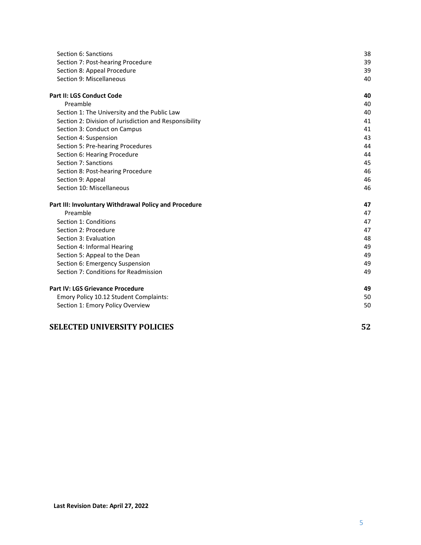| Section 6: Sanctions                                   | 38 |
|--------------------------------------------------------|----|
| Section 7: Post-hearing Procedure                      | 39 |
| Section 8: Appeal Procedure                            | 39 |
| Section 9: Miscellaneous                               | 40 |
| <b>Part II: LGS Conduct Code</b>                       | 40 |
| Preamble                                               | 40 |
| Section 1: The University and the Public Law           | 40 |
| Section 2: Division of Jurisdiction and Responsibility | 41 |
| Section 3: Conduct on Campus                           | 41 |
| Section 4: Suspension                                  | 43 |
| Section 5: Pre-hearing Procedures                      | 44 |
| Section 6: Hearing Procedure                           | 44 |
| Section 7: Sanctions                                   | 45 |
| Section 8: Post-hearing Procedure                      | 46 |
| Section 9: Appeal                                      | 46 |
| Section 10: Miscellaneous                              | 46 |
| Part III: Involuntary Withdrawal Policy and Procedure  | 47 |
| Preamble                                               | 47 |
| Section 1: Conditions                                  | 47 |
| Section 2: Procedure                                   | 47 |
| Section 3: Evaluation                                  | 48 |
| Section 4: Informal Hearing                            | 49 |
| Section 5: Appeal to the Dean                          | 49 |
| Section 6: Emergency Suspension                        | 49 |
| Section 7: Conditions for Readmission                  | 49 |
| <b>Part IV: LGS Grievance Procedure</b>                | 49 |
| Emory Policy 10.12 Student Complaints:                 | 50 |
| Section 1: Emory Policy Overview                       | 50 |
| <b>SELECTED UNIVERSITY POLICIES</b>                    | 52 |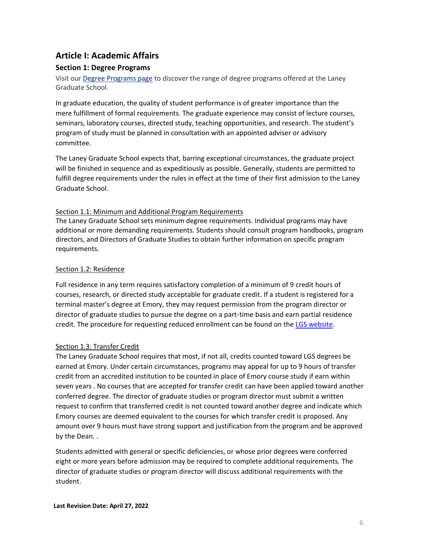## <span id="page-5-0"></span>**Article I: Academic Affairs**

## <span id="page-5-1"></span>**Section 1: Degree Programs**

Visit ou[r Degree Programs page](http://gs.emory.edu/degree-programs/index.html) to discover the range of degree programs offered at the Laney Graduate School.

In graduate education, the quality of student performance is of greater importance than the mere fulfillment of formal requirements. The graduate experience may consist of lecture courses, seminars, laboratory courses, directed study, teaching opportunities, and research. The student's program of study must be planned in consultation with an appointed adviser or advisory committee.

The Laney Graduate School expects that, barring exceptional circumstances, the graduate project will be finished in sequence and as expeditiously as possible. Generally, students are permitted to fulfill degree requirements under the rules in effect at the time of their first admission to the Laney Graduate School.

#### <span id="page-5-2"></span>Section 1.1: Minimum and Additional Program Requirements

The Laney Graduate School sets minimum degree requirements. Individual programs may have additional or more demanding requirements. Students should consult program handbooks, program directors, and Directors of Graduate Studies to obtain further information on specific program requirements.

## <span id="page-5-3"></span>Section 1.2: Residence

Full residence in any term requires satisfactory completion of a minimum of 9 credit hours of courses, research, or directed study acceptable for graduate credit. If a student is registered for a terminal master's degree at Emory, they may request permission from the program director or director of graduate studies to pursue the degree on a part-time basis and earn partial residence credit. The procedure for requesting reduced enrollment can be found on the [LGS website.](https://gs.emory.edu/academics/policies-progress/reduced.html)

## <span id="page-5-4"></span>Section 1.3: Transfer Credit

The Laney Graduate School requires that most, if not all, credits counted toward LGS degrees be earned at Emory. Under certain circumstances, programs may appeal for up to 9 hours of transfer credit from an accredited institution to be counted in place of Emory course study if earn within seven years . No courses that are accepted for transfer credit can have been applied toward another conferred degree. The director of graduate studies or program director must submit a written request to confirm that transferred credit is not counted toward another degree and indicate which Emory courses are deemed equivalent to the courses for which transfer credit is proposed. Any amount over 9 hours must have strong support and justification from the program and be approved by the Dean. .

Students admitted with general or specific deficiencies, or whose prior degrees were conferred eight or more years before admission may be required to complete additional requirements. The director of graduate studies or program director will discuss additional requirements with the student.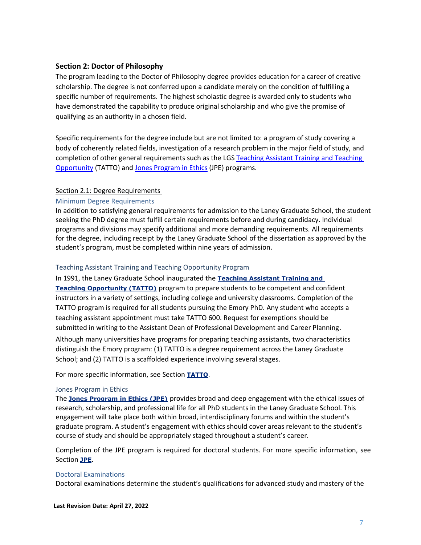#### <span id="page-6-0"></span>**Section 2: Doctor of Philosophy**

The program leading to the Doctor of Philosophy degree provides education for a career of creative scholarship. The degree is not conferred upon a candidate merely on the condition of fulfilling a specific number of requirements. The highest scholastic degree is awarded only to students who have demonstrated the capability to produce original scholarship and who give the promise of qualifying as an authority in a chosen field.

Specific requirements for the degree include but are not limited to: a program of study covering a body of coherently related fields, investigation of a research problem in the major field of study, and completion of other general requirements such as the LGS Teaching Assistant Training and Teaching [Opportunity](https://gs.emory.edu/professional-development/teaching/index.html) (TATTO) and [Jones Program in Ethics](https://gs.emory.edu/professional-development/jpe/index.html) (JPE) programs.

#### <span id="page-6-1"></span>Section 2.1: Degree Requirements

#### <span id="page-6-2"></span>Minimum Degree Requirements

In addition to satisfying general requirements for admission to the Laney Graduate School, the student seeking the PhD degree must fulfill certain requirements before and during candidacy. Individual programs and divisions may specify additional and more demanding requirements. All requirements for the degree, including receipt by the Laney Graduate School of the dissertation as approved by the student's program, must be completed within nine years of admission.

#### Teaching Assistant Training and Teaching Opportunity Program

In 1991, the Laney Graduate School inaugurated the **[Teaching Assistant Training and](http://gs.emory.edu/professional-development/teaching/index.html)  [Teaching Opportunity \(TATTO\)](http://gs.emory.edu/professional-development/teaching/index.html)** program to prepare students to be competent and confident instructors in a variety of settings, including college and university classrooms. Completion of the TATTO program is required for all students pursuing the Emory PhD. Any student who accepts a teaching assistant appointment must take TATTO 600. Request for exemptions should be submitted in writing to the Assistant Dean of Professional Development and Career Planning. Although many universities have programs for preparing teaching assistants, two characteristics distinguish the Emory program: (1) TATTO is a degree requirement across the Laney Graduate School; and (2) TATTO is a scaffolded experience involving several stages.

For more specific information, see Section **[TATTO](#page-12-0)**[.](#page-12-0)

#### Jones Program in Ethics

The **[Jones Program in Ethics \(JPE\)](http://gs.emory.edu/professional-development/jpe/index.html)** provides broad and deep engagement with the ethical issues of research, scholarship, and professional life for all PhD students in the Laney Graduate School. This engagement will take place both within broad, interdisciplinary forums and within the student's graduate program. A student's engagement with ethics should cover areas relevant to the student's course of study and should be appropriately staged throughout a student's career.

Completion of the JPE program is required for doctoral students. For more specific information, see Section **[JPE](#page-13-3)**[.](#page-13-3)

#### <span id="page-6-3"></span>Doctoral Examinations

Doctoral examinations determine the student's qualifications for advanced study and mastery of the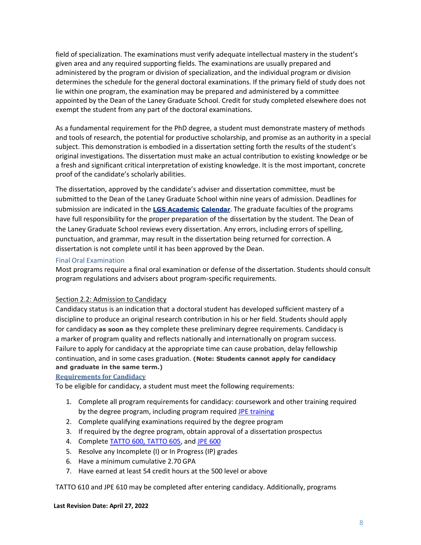field of specialization. The examinations must verify adequate intellectual mastery in the student's given area and any required supporting fields. The examinations are usually prepared and administered by the program or division of specialization, and the individual program or division determines the schedule for the general doctoral examinations. If the primary field of study does not lie within one program, the examination may be prepared and administered by a committee appointed by the Dean of the Laney Graduate School. Credit for study completed elsewhere does not exempt the student from any part of the doctoral examinations.

As a fundamental requirement for the PhD degree, a student must demonstrate mastery of methods and tools of research, the potential for productive scholarship, and promise as an authority in a special subject. This demonstration is embodied in a dissertation setting forth the results of the student's original investigations. The dissertation must make an actual contribution to existing knowledge or be a fresh and significant critical interpretation of existing knowledge. It is the most important, concrete proof of the candidate's scholarly abilities.

The dissertation, approved by the candidate's adviser and dissertation committee, must be submitted to the Dean of the Laney Graduate School within nine years of admission. Deadlines for submission are indicated in the **[LGS Academic](http://www.trumba.com/calendars/Emory_Grad_School_Academic) [Calendar](http://www.trumba.com/calendars/Emory_Grad_School_Academic)**[. T](http://www.trumba.com/calendars/Emory_Grad_School_Academic)he graduate faculties of the programs have full responsibility for the proper preparation of the dissertation by the student. The Dean of the Laney Graduate School reviews every dissertation. Any errors, including errors of spelling, punctuation, and grammar, may result in the dissertation being returned for correction. A dissertation is not complete until it has been approved by the Dean.

#### <span id="page-7-0"></span>Final Oral Examination

Most programs require a final oral examination or defense of the dissertation. Students should consult program regulations and advisers about program-specific requirements.

#### <span id="page-7-1"></span>Section 2.2: Admission to Candidacy

Candidacy status is an indication that a doctoral student has developed sufficient mastery of a discipline to produce an original research contribution in his or her field. Students should apply for candidacy **as soon as** they complete these preliminary degree requirements. Candidacy is a marker of program quality and reflects nationally and internationally on program success. Failure to apply for candidacy at the appropriate time can cause probation, delay fellowship continuation, and in some cases graduation. **(Note: Students cannot apply for candidacy and graduate in the same term.)** 

#### <span id="page-7-2"></span>**Requirements for Candidacy**

To be eligible for candidacy, a student must meet the following requirements:

- 1. Complete all program requirements for candidacy: coursework and other training required by the degree program, including program required JPE [training](https://gs.emory.edu/professional-development/jpe/index.html)
- 2. Complete qualifying examinations required by the degree program
- 3. If required by the degree program, obtain approval of a dissertation prospectus
- 4. Complete [TATTO 600, TATTO 605,](https://gs.emory.edu/professional-development/teaching/index.html) and [JPE 600](https://gs.emory.edu/professional-development/jpe/index.html)
- 5. Resolve any Incomplete (I) or In Progress (IP) grades
- 6. Have a minimum cumulative 2.70 GPA
- 7. Have earned at least 54 credit hours at the 500 level or above

TATTO 610 and JPE 610 may be completed after entering candidacy. Additionally, programs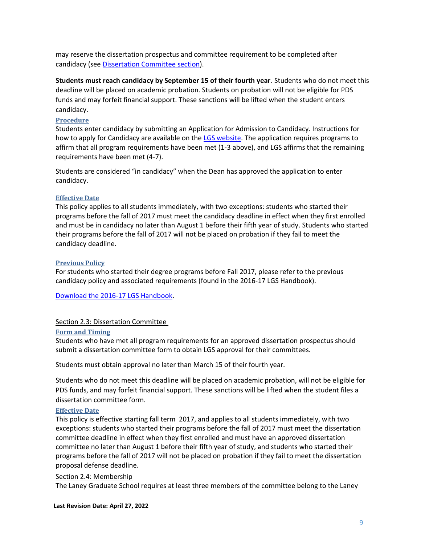may reserve the dissertation prospectus and committee requirement to be completed after candidacy (see [Dissertation Committee](#page-8-3) section).

**Students must reach candidacy by September 15 of their fourth year**. Students who do not meet this deadline will be placed on academic probation. Students on probation will not be eligible for PDS funds and may forfeit financial support. These sanctions will be lifted when the student enters candidacy.

#### <span id="page-8-0"></span>**Procedure**

Students enter candidacy by submitting an Application for Admission to Candidacy. Instructions for how to apply for Candidacy are available on the [LGS website.](https://gs.emory.edu/academics/policies-progress/candidacy.html) The application requires programs to affirm that all program requirements have been met (1-3 above), and LGS affirms that the remaining requirements have been met (4-7).

Students are considered "in candidacy" when the Dean has approved the application to enter candidacy.

#### <span id="page-8-1"></span>**Effective Date**

This policy applies to all students immediately, with two exceptions: students who started their programs before the fall of 2017 must meet the candidacy deadline in effect when they first enrolled and must be in candidacy no later than August 1 before their fifth year of study. Students who started their programs before the fall of 2017 will not be placed on probation if they fail to meet the candidacy deadline.

#### <span id="page-8-2"></span>**Previous Policy**

For students who started their degree programs before Fall 2017, please refer to the previous candidacy policy and associated requirements (found in the 2016-17 LGS Handbook).

[Download the 2016-17 LGS Handbook.](https://gs.emory.edu/handbook/documents/LGS%20Handbook%202016-17-watermarked.pdf)

#### <span id="page-8-3"></span>Section 2.3: Dissertation Committee

#### <span id="page-8-4"></span>**Form and Timing**

Students who have met all program requirements for an approved dissertation prospectus should submit a dissertation committee form to obtain LGS approval for their committees.

Students must obtain approval no later than March 15 of their fourth year.

Students who do not meet this deadline will be placed on academic probation, will not be eligible for PDS funds, and may forfeit financial support. These sanctions will be lifted when the student files a dissertation committee form.

#### <span id="page-8-5"></span>**Effective Date**

This policy is effective starting fall term 2017, and applies to all students immediately, with two exceptions: students who started their programs before the fall of 2017 must meet the dissertation committee deadline in effect when they first enrolled and must have an approved dissertation committee no later than August 1 before their fifth year of study, and students who started their programs before the fall of 2017 will not be placed on probation if they fail to meet the dissertation proposal defense deadline.

#### <span id="page-8-6"></span>Section 2.4: Membership

The Laney Graduate School requires at least three members of the committee belong to the Laney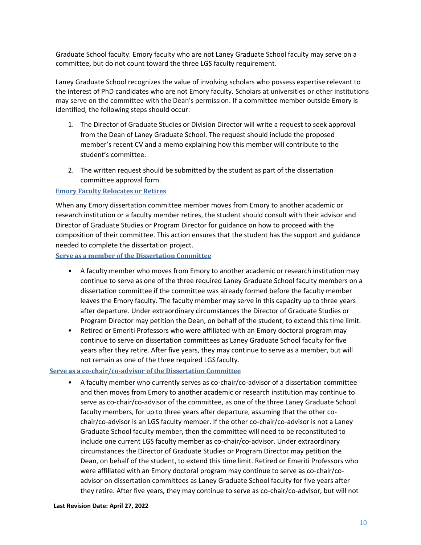Graduate School faculty. Emory faculty who are not Laney Graduate School faculty may serve on a committee, but do not count toward the three LGS faculty requirement.

Laney Graduate School recognizes the value of involving scholars who possess expertise relevant to the interest of PhD candidates who are not Emory faculty. Scholars at universities or other institutions may serve on the committee with the Dean's permission. If a committee member outside Emory is identified, the following steps should occur:

- 1. The Director of Graduate Studies or Division Director will write a request to seek approval from the Dean of Laney Graduate School. The request should include the proposed member's recent CV and a memo explaining how this member will contribute to the student's committee.
- 2. The written request should be submitted by the student as part of the dissertation committee approval form.

#### <span id="page-9-0"></span>**Emory Faculty Relocates or Retires**

When any Emory dissertation committee member moves from Emory to another academic or research institution or a faculty member retires, the student should consult with their advisor and Director of Graduate Studies or Program Director for guidance on how to proceed with the composition of their committee. This action ensures that the student has the support and guidance needed to complete the dissertation project.

<span id="page-9-1"></span>**Serve as a member of the Dissertation Committee**

- A faculty member who moves from Emory to another academic or research institution may continue to serve as one of the three required Laney Graduate School faculty members on a dissertation committee if the committee was already formed before the faculty member leaves the Emory faculty. The faculty member may serve in this capacity up to three years after departure. Under extraordinary circumstances the Director of Graduate Studies or Program Director may petition the Dean, on behalf of the student, to extend this time limit.
- Retired or Emeriti Professors who were affiliated with an Emory doctoral program may continue to serve on dissertation committees as Laney Graduate School faculty for five years after they retire. After five years, they may continue to serve as a member, but will not remain as one of the three required LGS faculty.

#### <span id="page-9-2"></span>**Serve as a co-chair/co-advisor of the Dissertation Committee**

• A faculty member who currently serves as co-chair/co-advisor of a dissertation committee and then moves from Emory to another academic or research institution may continue to serve as co-chair/co-advisor of the committee, as one of the three Laney Graduate School faculty members, for up to three years after departure, assuming that the other cochair/co-advisor is an LGS faculty member. If the other co-chair/co-advisor is not a Laney Graduate School faculty member, then the committee will need to be reconstituted to include one current LGS faculty member as co-chair/co-advisor. Under extraordinary circumstances the Director of Graduate Studies or Program Director may petition the Dean, on behalf of the student, to extend this time limit. Retired or Emeriti Professors who were affiliated with an Emory doctoral program may continue to serve as co-chair/coadvisor on dissertation committees as Laney Graduate School faculty for five years after they retire. After five years, they may continue to serve as co-chair/co-advisor, but will not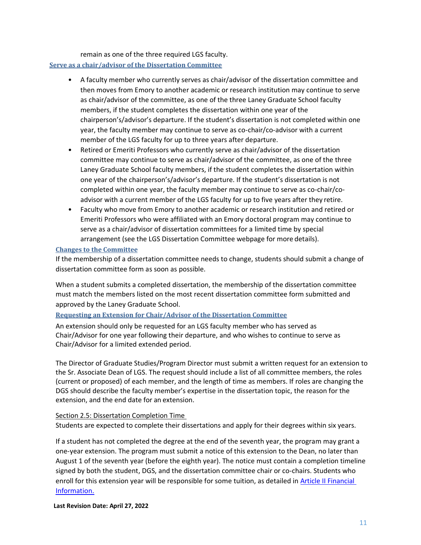remain as one of the three required LGS faculty.

#### <span id="page-10-0"></span>**Serve as a chair/advisor of the Dissertation Committee**

- A faculty member who currently serves as chair/advisor of the dissertation committee and then moves from Emory to another academic or research institution may continue to serve as chair/advisor of the committee, as one of the three Laney Graduate School faculty members, if the student completes the dissertation within one year of the chairperson's/advisor's departure. If the student's dissertation is not completed within one year, the faculty member may continue to serve as co-chair/co-advisor with a current member of the LGS faculty for up to three years after departure.
- Retired or Emeriti Professors who currently serve as chair/advisor of the dissertation committee may continue to serve as chair/advisor of the committee, as one of the three Laney Graduate School faculty members, if the student completes the dissertation within one year of the chairperson's/advisor's departure. If the student's dissertation is not completed within one year, the faculty member may continue to serve as co-chair/coadvisor with a current member of the LGS faculty for up to five years after they retire.
- Faculty who move from Emory to another academic or research institution and retired or Emeriti Professors who were affiliated with an Emory doctoral program may continue to serve as a chair/advisor of dissertation committees for a limited time by special arrangement (see the LGS Dissertation Committee webpage for more details).

#### <span id="page-10-1"></span>**Changes to the Committee**

If the membership of a dissertation committee needs to change, students should submit a change of dissertation committee form as soon as possible.

When a student submits a completed dissertation, the membership of the dissertation committee must match the members listed on the most recent dissertation committee form submitted and approved by the Laney Graduate School.

#### <span id="page-10-2"></span>**Requesting an Extension for Chair/Advisor of the Dissertation Committee**

An extension should only be requested for an LGS faculty member who has served as Chair/Advisor for one year following their departure, and who wishes to continue to serve as Chair/Advisor for a limited extended period.

The Director of Graduate Studies/Program Director must submit a written request for an extension to the Sr. Associate Dean of LGS. The request should include a list of all committee members, the roles (current or proposed) of each member, and the length of time as members. If roles are changing the DGS should describe the faculty member's expertise in the dissertation topic, the reason for the extension, and the end date for an extension.

#### <span id="page-10-3"></span>Section 2.5: Dissertation Completion Time

Students are expected to complete their dissertations and apply for their degrees within six years.

If a student has not completed the degree at the end of the seventh year, the program may grant a one-year extension. The program must submit a notice of this extension to the Dean, no later than August 1 of the seventh year (before the eighth year). The notice must contain a completion timeline signed by both the student, DGS, and the dissertation committee chair or co-chairs. Students who enroll for this extension year will be responsible for some tuition, as detailed i[n Article II Financial](#page-29-2)  [Information.](#page-29-2)

**Last Revision Date: April 27, 2022**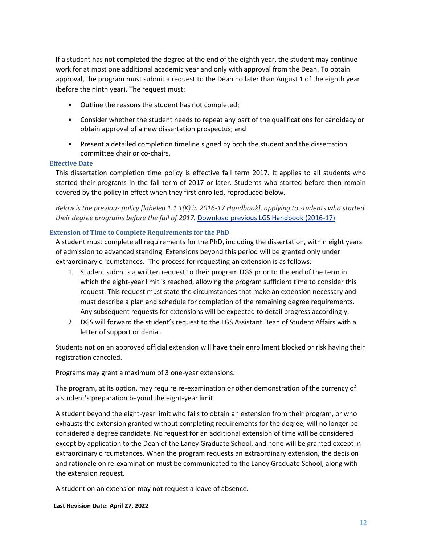If a student has not completed the degree at the end of the eighth year, the student may continue work for at most one additional academic year and only with approval from the Dean. To obtain approval, the program must submit a request to the Dean no later than August 1 of the eighth year (before the ninth year). The request must:

- Outline the reasons the student has not completed;
- Consider whether the student needs to repeat any part of the qualifications for candidacy or obtain approval of a new dissertation prospectus; and
- Present a detailed completion timeline signed by both the student and the dissertation committee chair or co-chairs.

#### <span id="page-11-0"></span>**Effective Date**

This dissertation completion time policy is effective fall term 2017. It applies to all students who started their programs in the fall term of 2017 or later. Students who started before then remain covered by the policy in effect when they first enrolled, reproduced below.

*Below is the previous policy [labeled 1.1.1(K) in 2016-17 Handbook], applying to students who started their degree programs before the fall of 2017.* [Download previous LGS Handbook \(2016-17\)](https://gs.emory.edu/handbook/documents/LGS%20Handbook%202016-17-watermarked.pdf)

#### <span id="page-11-1"></span>**Extension of Time to Complete Requirements for the PhD**

A student must complete all requirements for the PhD, including the dissertation, within eight years of admission to advanced standing. Extensions beyond this period will be granted only under extraordinary circumstances. The process for requesting an extension is as follows:

- 1. Student submits a written request to their program DGS prior to the end of the term in which the eight-year limit is reached, allowing the program sufficient time to consider this request. This request must state the circumstances that make an extension necessary and must describe a plan and schedule for completion of the remaining degree requirements. Any subsequent requests for extensions will be expected to detail progress accordingly.
- 2. DGS will forward the student's request to the LGS Assistant Dean of Student Affairs with a letter of support or denial.

Students not on an approved official extension will have their enrollment blocked or risk having their registration canceled.

Programs may grant a maximum of 3 one-year extensions.

The program, at its option, may require re-examination or other demonstration of the currency of a student's preparation beyond the eight-year limit.

A student beyond the eight-year limit who fails to obtain an extension from their program, or who exhausts the extension granted without completing requirements for the degree, will no longer be considered a degree candidate. No request for an additional extension of time will be considered except by application to the Dean of the Laney Graduate School, and none will be granted except in extraordinary circumstances. When the program requests an extraordinary extension, the decision and rationale on re-examination must be communicated to the Laney Graduate School, along with the extension request.

A student on an extension may not request a leave of absence.

**Last Revision Date: April 27, 2022**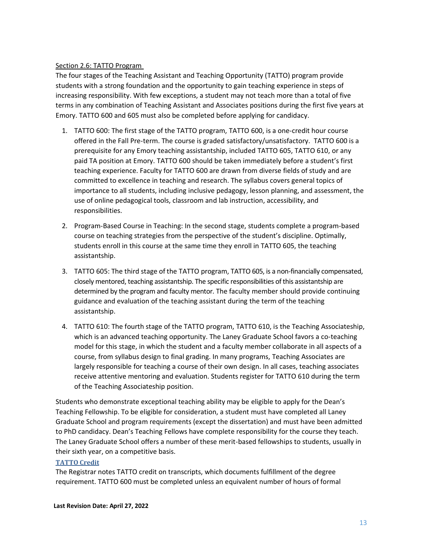#### <span id="page-12-0"></span>Section 2.6: TATTO Program

The four stages of the Teaching Assistant and Teaching Opportunity (TATTO) program provide students with a strong foundation and the opportunity to gain teaching experience in steps of increasing responsibility. With few exceptions, a student may not teach more than a total of five terms in any combination of Teaching Assistant and Associates positions during the first five years at Emory. TATTO 600 and 605 must also be completed before applying for candidacy.

- 1. TATTO 600: The first stage of the TATTO program, TATTO 600, is a one-credit hour course offered in the Fall Pre-term. The course is graded satisfactory/unsatisfactory. TATTO 600 is a prerequisite for any Emory teaching assistantship, included TATTO 605, TATTO 610, or any paid TA position at Emory. TATTO 600 should be taken immediately before a student's first teaching experience. Faculty for TATTO 600 are drawn from diverse fields of study and are committed to excellence in teaching and research. The syllabus covers general topics of importance to all students, including inclusive pedagogy, lesson planning, and assessment, the use of online pedagogical tools, classroom and lab instruction, accessibility, and responsibilities.
- 2. Program-Based Course in Teaching: In the second stage, students complete a program-based course on teaching strategies from the perspective of the student's discipline. Optimally, students enroll in this course at the same time they enroll in TATTO 605, the teaching assistantship.
- 3. TATTO 605: The third stage of the TATTO program, TATTO 605, is a non-financially compensated, closely mentored, teaching assistantship. The specific responsibilities of this assistantship are determined by the program and faculty mentor. The faculty member should provide continuing guidance and evaluation of the teaching assistant during the term of the teaching assistantship.
- 4. TATTO 610: The fourth stage of the TATTO program, TATTO 610, is the Teaching Associateship, which is an advanced teaching opportunity. The Laney Graduate School favors a co-teaching model for this stage, in which the student and a faculty member collaborate in all aspects of a course, from syllabus design to final grading. In many programs, Teaching Associates are largely responsible for teaching a course of their own design. In all cases, teaching associates receive attentive mentoring and evaluation. Students register for TATTO 610 during the term of the Teaching Associateship position.

Students who demonstrate exceptional teaching ability may be eligible to apply for the Dean's Teaching Fellowship. To be eligible for consideration, a student must have completed all Laney Graduate School and program requirements (except the dissertation) and must have been admitted to PhD candidacy. Dean's Teaching Fellows have complete responsibility for the course they teach. The Laney Graduate School offers a number of these merit-based fellowships to students, usually in their sixth year, on a competitive basis.

#### <span id="page-12-1"></span>**TATTO Credit**

The Registrar notes TATTO credit on transcripts, which documents fulfillment of the degree requirement. TATTO 600 must be completed unless an equivalent number of hours of formal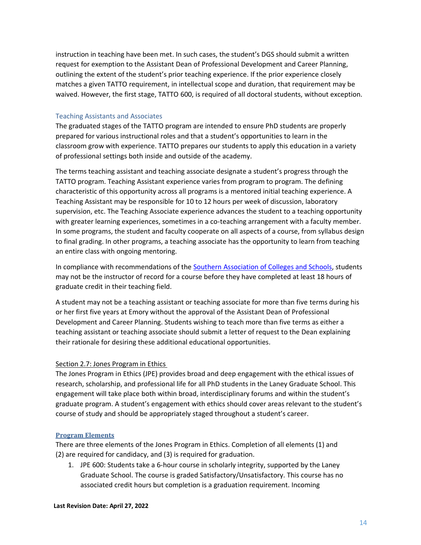instruction in teaching have been met. In such cases, the student's DGS should submit a written request for exemption to the Assistant Dean of Professional Development and Career Planning, outlining the extent of the student's prior teaching experience. If the prior experience closely matches a given TATTO requirement, in intellectual scope and duration, that requirement may be waived. However, the first stage, TATTO 600, is required of all doctoral students, without exception.

#### <span id="page-13-0"></span>Teaching Assistants and Associates

The graduated stages of the TATTO program are intended to ensure PhD students are properly prepared for various instructional roles and that a student's opportunities to learn in the classroom grow with experience. TATTO prepares our students to apply this education in a variety of professional settings both inside and outside of the academy.

The terms teaching assistant and teaching associate designate a student's progress through the TATTO program. Teaching Assistant experience varies from program to program. The defining characteristic of this opportunity across all programs is a mentored initial teaching experience. A Teaching Assistant may be responsible for 10 to 12 hours per week of discussion, laboratory supervision, etc. The Teaching Associate experience advances the student to a teaching opportunity with greater learning experiences, sometimes in a co-teaching arrangement with a faculty member. In some programs, the student and faculty cooperate on all aspects of a course, from syllabus design to final grading. In other programs, a teaching associate has the opportunity to learn from teaching an entire class with ongoing mentoring.

In compliance with recommendations of the [Southern Association of Colleges and Schools,](https://sacscoc.org/) students may not be the instructor of record for a course before they have completed at least 18 hours of graduate credit in their teaching field.

A student may not be a teaching assistant or teaching associate for more than five terms during his or her first five years at Emory without the approval of the Assistant Dean of Professional Development and Career Planning. Students wishing to teach more than five terms as either a teaching assistant or teaching associate should submit a letter of request to the Dean explaining their rationale for desiring these additional educational opportunities.

#### <span id="page-13-3"></span><span id="page-13-1"></span>Section 2.7: Jones Program in Ethics

The Jones Program in Ethics (JPE) provides broad and deep engagement with the ethical issues of research, scholarship, and professional life for all PhD students in the Laney Graduate School. This engagement will take place both within broad, interdisciplinary forums and within the student's graduate program. A student's engagement with ethics should cover areas relevant to the student's course of study and should be appropriately staged throughout a student's career.

#### <span id="page-13-2"></span>**Program Elements**

There are three elements of the Jones Program in Ethics. Completion of all elements (1) and (2) are required for candidacy, and (3) is required for graduation.

1. JPE 600: Students take a 6-hour course in scholarly integrity, supported by the Laney Graduate School. The course is graded Satisfactory/Unsatisfactory. This course has no associated credit hours but completion is a graduation requirement. Incoming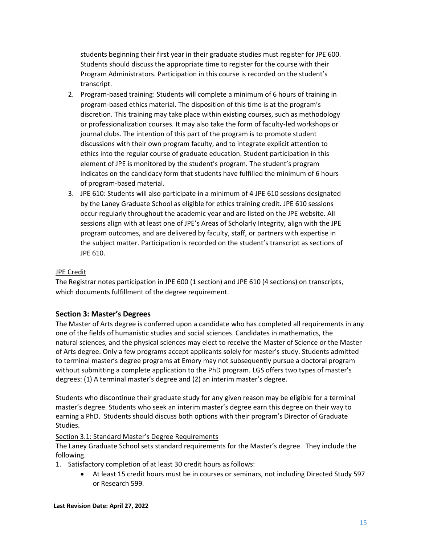students beginning their first year in their graduate studies must register for JPE 600. Students should discuss the appropriate time to register for the course with their Program Administrators. Participation in this course is recorded on the student's transcript.

- 2. Program-based training: Students will complete a minimum of 6 hours of training in program-based ethics material. The disposition of this time is at the program's discretion. This training may take place within existing courses, such as methodology or professionalization courses. It may also take the form of faculty-led workshops or journal clubs. The intention of this part of the program is to promote student discussions with their own program faculty, and to integrate explicit attention to ethics into the regular course of graduate education. Student participation in this element of JPE is monitored by the student's program. The student's program indicates on the candidacy form that students have fulfilled the minimum of 6 hours of program-based material.
- 3. JPE 610: Students will also participate in a minimum of 4 JPE 610 sessions designated by the Laney Graduate School as eligible for ethics training credit. JPE 610 sessions occur regularly throughout the academic year and are listed on the JPE website. All sessions align with at least one of JPE's Areas of Scholarly Integrity, align with the JPE program outcomes, and are delivered by faculty, staff, or partners with expertise in the subject matter. Participation is recorded on the student's transcript as sections of JPE 610.

## JPE Credit

The Registrar notes participation in JPE 600 (1 section) and JPE 610 (4 sections) on transcripts, which documents fulfillment of the degree requirement.

## <span id="page-14-0"></span>**Section 3: Master's Degrees**

The Master of Arts degree is conferred upon a candidate who has completed all requirements in any one of the fields of humanistic studies and social sciences. Candidates in mathematics, the natural sciences, and the physical sciences may elect to receive the Master of Science or the Master of Arts degree. Only a few programs accept applicants solely for master's study. Students admitted to terminal master's degree programs at Emory may not subsequently pursue a doctoral program without submitting a complete application to the PhD program. LGS offers two types of master's degrees: (1) A terminal master's degree and (2) an interim master's degree.

Students who discontinue their graduate study for any given reason may be eligible for a terminal master's degree. Students who seek an interim master's degree earn this degree on their way to earning a PhD. Students should discuss both options with their program's Director of Graduate Studies.

#### <span id="page-14-1"></span>Section 3.1: Standard Master's Degree Requirements

The Laney Graduate School sets standard requirements for the Master's degree. They include the following.

- 1. Satisfactory completion of at least 30 credit hours as follows:
	- At least 15 credit hours must be in courses or seminars, not including Directed Study 597 or Research 599.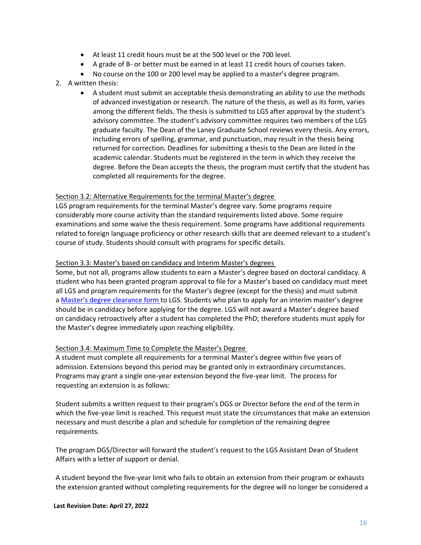- At least 11 credit hours must be at the 500 level or the 700 level.
- A grade of B- or better must be earned in at least 11 credit hours of courses taken.
- No course on the 100 or 200 level may be applied to a master's degree program.
- 2. A written thesis:
	- A student must submit an acceptable thesis demonstrating an ability to use the methods of advanced investigation or research. The nature of the thesis, as well as its form, varies among the different fields. The thesis is submitted to LGS after approval by the student's advisory committee. The student's advisory committee requires two members of the LGS graduate faculty. The Dean of the Laney Graduate School reviews every thesis. Any errors, including errors of spelling, grammar, and punctuation, may result in the thesis being returned for correction. Deadlines for submitting a thesis to the Dean are listed in the academic calendar. Students must be registered in the term in which they receive the degree. Before the Dean accepts the thesis, the program must certify that the student has completed all requirements for the degree.

#### <span id="page-15-0"></span>Section 3.2: Alternative Requirements for the terminal Master's degree

LGS program requirements for the terminal Master's degree vary. Some programs require considerably more course activity than the standard requirements listed above. Some require examinations and some waive the thesis requirement. Some programs have additional requirements related to foreign language proficiency or other research skills that are deemed relevant to a student's course of study. Students should consult with programs for specific details.

#### <span id="page-15-1"></span>Section 3.3: Master's based on candidacy and Interim Master's degrees

Some, but not all, programs allow students to earn a Master's degree based on doctoral candidacy. A student who has been granted program approval to file for a Master's based on candidacy must meet all LGS and program requirements for the Master's degree (except for the thesis) and must submit a [Master's degree clearance form](https://gs.emory.edu/academics/completion/submit/masters-completion.html) to LGS. Students who plan to apply for an interim master's degree should be in candidacy before applying for the degree. LGS will not award a Master's degree based on candidacy retroactively after a student has completed the PhD; therefore students must apply for the Master's degree immediately upon reaching eligibility.

#### <span id="page-15-2"></span>Section 3.4: Maximum Time to Complete the Master's Degree

A student must complete all requirements for a terminal Master's degree within five years of admission. Extensions beyond this period may be granted only in extraordinary circumstances. Programs may grant a single one-year extension beyond the five-year limit. The process for requesting an extension is as follows:

Student submits a written request to their program's DGS or Director before the end of the term in which the five-year limit is reached. This request must state the circumstances that make an extension necessary and must describe a plan and schedule for completion of the remaining degree requirements.

The program DGS/Director will forward the student's request to the LGS Assistant Dean of Student Affairs with a letter of support or denial.

A student beyond the five-year limit who fails to obtain an extension from their program or exhausts the extension granted without completing requirements for the degree will no longer be considered a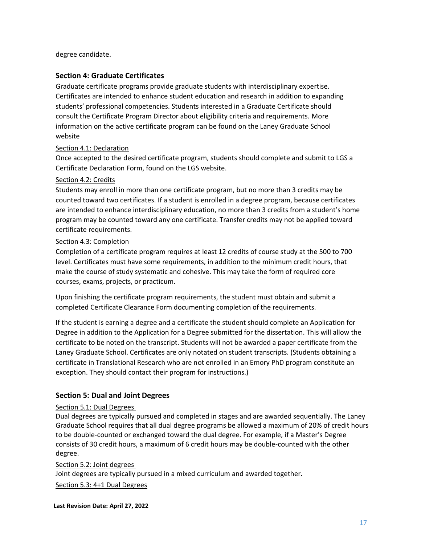degree candidate.

#### <span id="page-16-0"></span>**Section 4: Graduate Certificates**

Graduate certificate programs provide graduate students with interdisciplinary expertise. Certificates are intended to enhance student education and research in addition to expanding students' professional competencies. Students interested in a Graduate Certificate should consult the Certificate Program Director about eligibility criteria and requirements. More information on the active certificate program can be found on the Laney Graduate School website

#### <span id="page-16-1"></span>Section 4.1: Declaration

Once accepted to the desired certificate program, students should complete and submit to LGS a Certificate Declaration Form, found on the LGS website.

#### <span id="page-16-2"></span>Section 4.2: Credits

Students may enroll in more than one certificate program, but no more than 3 credits may be counted toward two certificates. If a student is enrolled in a degree program, because certificates are intended to enhance interdisciplinary education, no more than 3 credits from a student's home program may be counted toward any one certificate. Transfer credits may not be applied toward certificate requirements.

#### <span id="page-16-3"></span>Section 4.3: Completion

Completion of a certificate program requires at least 12 credits of course study at the 500 to 700 level. Certificates must have some requirements, in addition to the minimum credit hours, that make the course of study systematic and cohesive. This may take the form of required core courses, exams, projects, or practicum.

Upon finishing the certificate program requirements, the student must obtain and submit a completed Certificate Clearance Form documenting completion of the requirements.

If the student is earning a degree and a certificate the student should complete an Application for Degree in addition to the Application for a Degree submitted for the dissertation. This will allow the certificate to be noted on the transcript. Students will not be awarded a paper certificate from the Laney Graduate School. Certificates are only notated on student transcripts. (Students obtaining a certificate in Translational Research who are not enrolled in an Emory PhD program constitute an exception. They should contact their program for instructions.)

#### <span id="page-16-4"></span>**Section 5: Dual and Joint Degrees**

#### <span id="page-16-5"></span>Section 5.1: Dual Degrees

Dual degrees are typically pursued and completed in stages and are awarded sequentially. The Laney Graduate School requires that all dual degree programs be allowed a maximum of 20% of credit hours to be double-counted or exchanged toward the dual degree. For example, if a Master's Degree consists of 30 credit hours, a maximum of 6 credit hours may be double-counted with the other degree.

<span id="page-16-7"></span><span id="page-16-6"></span>Section 5.2: Joint degrees Joint degrees are typically pursued in a mixed curriculum and awarded together. Section 5.3: 4+1 Dual Degrees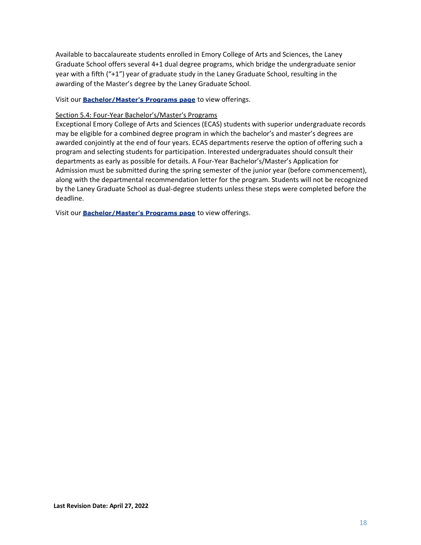Available to baccalaureate students enrolled in Emory College of Arts and Sciences, the Laney Graduate School offers several 4+1 dual degree programs, which bridge the undergraduate senior year with a fifth ("+1") year of graduate study in the Laney Graduate School, resulting in the awarding of the Master's degree by the Laney Graduate School.

Visit our **[Bachelor/Master's Programs page](http://gs.emory.edu/degree-programs/fourplusone.html)** to view offerings.

#### <span id="page-17-0"></span>Section 5.4: Four-Year Bachelor's/Master's Programs

Exceptional Emory College of Arts and Sciences (ECAS) students with superior undergraduate records may be eligible for a combined degree program in which the bachelor's and master's degrees are awarded conjointly at the end of four years. ECAS departments reserve the option of offering such a program and selecting students for participation. Interested undergraduates should consult their departments as early as possible for details. A Four-Year Bachelor's/Master's Application for Admission must be submitted during the spring semester of the junior year (before commencement), along with the departmental recommendation letter for the program. Students will not be recognized by the Laney Graduate School as dual-degree students unless these steps were completed before the deadline.

Visit our **[Bachelor/Master's Programs page](http://gs.emory.edu/degree-programs/fourplusone.html)** to view offerings.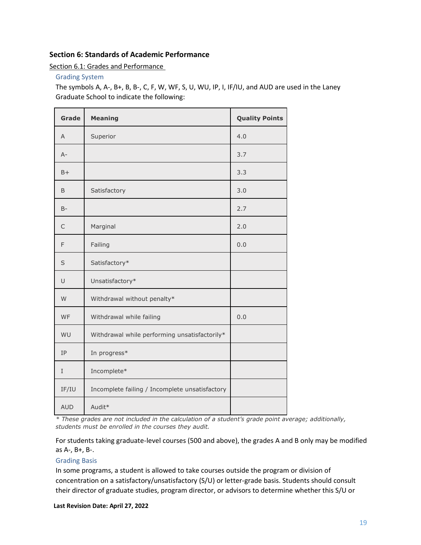#### <span id="page-18-0"></span>**Section 6: Standards of Academic Performance**

<span id="page-18-1"></span>Section 6.1: Grades and Performance

<span id="page-18-2"></span>Grading System

The symbols A, A-, B+, B, B-, C, F, W, WF, S, U, WU, IP, I, IF/IU, and AUD are used in the Laney Graduate School to indicate the following:

| Grade      | <b>Meaning</b>                                 | <b>Quality Points</b> |
|------------|------------------------------------------------|-----------------------|
| A          | Superior                                       | 4.0                   |
| $A -$      |                                                | 3.7                   |
| $B+$       |                                                | 3.3                   |
| B          | Satisfactory                                   | 3.0                   |
| $B -$      |                                                | 2.7                   |
| C          | Marginal                                       | 2.0                   |
| F          | Failing                                        | 0.0                   |
| S          | Satisfactory*                                  |                       |
| U          | Unsatisfactory*                                |                       |
| W          | Withdrawal without penalty*                    |                       |
| WF         | Withdrawal while failing                       | 0.0                   |
| WU         | Withdrawal while performing unsatisfactorily*  |                       |
| IP         | In progress*                                   |                       |
| I          | Incomplete*                                    |                       |
| IF/IU      | Incomplete failing / Incomplete unsatisfactory |                       |
| <b>AUD</b> | Audit*                                         |                       |

*\* These grades are not included in the calculation of a student's grade point average; additionally, students must be enrolled in the courses they audit.*

For students taking graduate-level courses (500 and above), the grades A and B only may be modified as A-, B+, B-.

#### <span id="page-18-3"></span>Grading Basis

In some programs, a student is allowed to take courses outside the program or division of concentration on a satisfactory/unsatisfactory (S/U) or letter-grade basis. Students should consult their director of graduate studies, program director, or advisors to determine whether this S/U or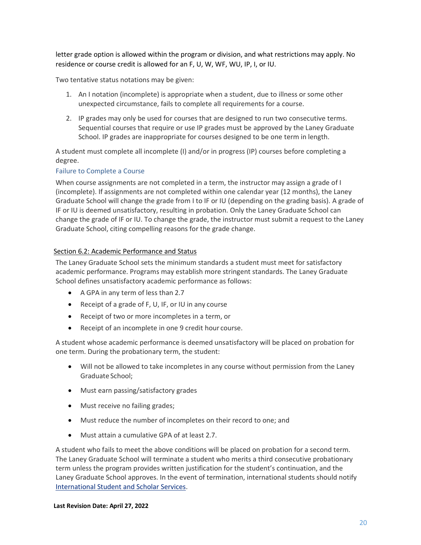letter grade option is allowed within the program or division, and what restrictions may apply. No residence or course credit is allowed for an F, U, W, WF, WU, IP, I, or IU.

Two tentative status notations may be given:

- 1. An I notation (incomplete) is appropriate when a student, due to illness or some other unexpected circumstance, fails to complete all requirements for a course.
- 2. IP grades may only be used for courses that are designed to run two consecutive terms. Sequential courses that require or use IP grades must be approved by the Laney Graduate School. IP grades are inappropriate for courses designed to be one term in length.

A student must complete all incomplete (I) and/or in progress (IP) courses before completing a degree.

#### <span id="page-19-0"></span>Failure to Complete a Course

When course assignments are not completed in a term, the instructor may assign a grade of I (incomplete). If assignments are not completed within one calendar year (12 months), the Laney Graduate School will change the grade from I to IF or IU (depending on the grading basis). A grade of IF or IU is deemed unsatisfactory, resulting in probation. Only the Laney Graduate School can change the grade of IF or IU. To change the grade, the instructor must submit a request to the Laney Graduate School, citing compelling reasons for the grade change.

#### <span id="page-19-1"></span>Section 6.2: Academic Performance and Status

The Laney Graduate School sets the minimum standards a student must meet for satisfactory academic performance. Programs may establish more stringent standards. The Laney Graduate School defines unsatisfactory academic performance as follows:

- A GPA in any term of less than 2.7
- Receipt of a grade of F, U, IF, or IU in any course
- Receipt of two or more incompletes in a term, or
- Receipt of an incomplete in one 9 credit hour course.

A student whose academic performance is deemed unsatisfactory will be placed on probation for one term. During the probationary term, the student:

- Will not be allowed to take incompletes in any course without permission from the Laney Graduate School;
- Must earn passing/satisfactory grades
- Must receive no failing grades;
- Must reduce the number of incompletes on their record to one; and
- Must attain a cumulative GPA of at least 2.7.

A student who fails to meet the above conditions will be placed on probation for a second term. The Laney Graduate School will terminate a student who merits a third consecutive probationary term unless the program provides written justification for the student's continuation, and the Laney Graduate School approves. In the event of termination, international students should notify [International Student and Scholar Services.](http://isss.emory.edu/)

#### **Last Revision Date: April 27, 2022**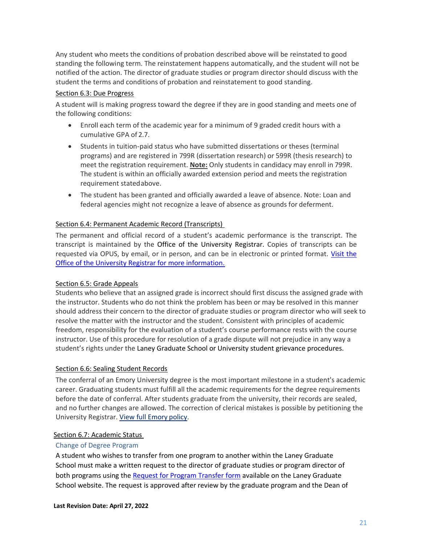Any student who meets the conditions of probation described above will be reinstated to good standing the following term. The reinstatement happens automatically, and the student will not be notified of the action. The director of graduate studies or program director should discuss with the student the terms and conditions of probation and reinstatement to good standing.

## <span id="page-20-0"></span>Section 6.3: Due Progress

A student will is making progress toward the degree if they are in good standing and meets one of the following conditions:

- Enroll each term of the academic year for a minimum of 9 graded credit hours with a cumulative GPA of 2.7.
- Students in tuition-paid status who have submitted dissertations or theses (terminal programs) and are registered in 799R (dissertation research) or 599R (thesis research) to meet the registration requirement. **Note:** Only students in candidacy may enroll in 799R. The student is within an officially awarded extension period and meets the registration requirement statedabove.
- The student has been granted and officially awarded a leave of absence. Note: Loan and federal agencies might not recognize a leave of absence as grounds for deferment.

#### <span id="page-20-1"></span>Section 6.4: Permanent Academic Record (Transcripts)

The permanent and official record of a student's academic performance is the transcript. The transcript is maintained by the [Office of the](http://www.registrar.emory.edu/) University Registrar. Copies of transcripts can be requested via OPUS, by email, or in person, and can be in electronic or printed format. [Visit](http://www.registrar.emory.edu/Students/Transcripts/index.html) the Office of the University Registrar for more information.

#### <span id="page-20-2"></span>Section 6.5: Grade Appeals

Students who believe that an assigned grade is incorrect should first discuss the assigned grade with the instructor. Students who do not think the problem has been or may be resolved in this manner should address their concern to the director of graduate studies or program director who will seek to resolve the matter with the instructor and the student. Consistent with principles of academic freedom, responsibility for the evaluation of a student's course performance rests with the course instructor. Use of this procedure for resolution of a grade dispute will not prejudice in any way a student's rights under the Laney Graduate School or University student grievance procedures.

#### <span id="page-20-3"></span>Section 6.6: Sealing Student Records

The conferral of an Emory University degree is the most important milestone in a student's academic career. Graduating students must fulfill all the academic requirements for the degree requirements before the date of conferral. After students graduate from the university, their records are sealed, and no further changes are allowed. The correction of clerical mistakes is possible by petitioning the University Registrar. [View full Emory](http://policies.emory.edu/10.14) policy.

#### <span id="page-20-4"></span>Section 6.7: Academic Status

#### <span id="page-20-5"></span>Change of Degree Program

A student who wishes to transfer from one program to another within the Laney Graduate School must make a written request to the director of graduate studies or program director of both programs using the [Request for Program Transfer form](https://www.gs.emory.edu/academics/policies-progress/transfer.html) available on the Laney Graduate School website. The request is approved after review by the graduate program and the Dean of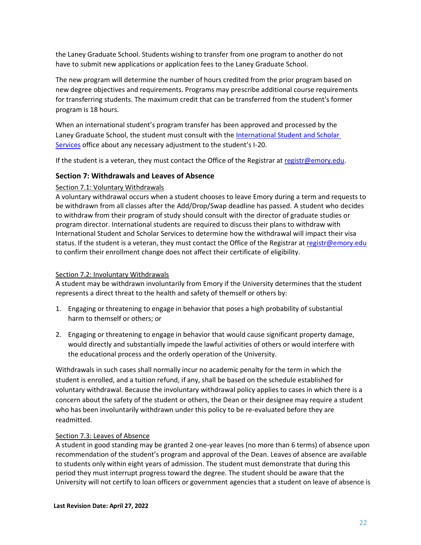the Laney Graduate School. Students wishing to transfer from one program to another do not have to submit new applications or application fees to the Laney Graduate School.

The new program will determine the number of hours credited from the prior program based on new degree objectives and requirements. Programs may prescribe additional course requirements for transferring students. The maximum credit that can be transferred from the student's former program is 18 hours.

When an international student's program transfer has been approved and processed by the Laney Graduate School, the student must consult with the [International Student and Scholar](http://isss.emory.edu/)  [Services](http://isss.emory.edu/) office about any necessary adjustment to the student's I-20.

If the student is a veteran, they must contact the Office of the Registrar at [registr@emory.edu.](mailto:registr@emory.edu)

## <span id="page-21-0"></span>**Section 7: Withdrawals and Leaves of Absence**

#### <span id="page-21-1"></span>Section 7.1: Voluntary Withdrawals

A voluntary withdrawal occurs when a student chooses to leave Emory during a term and requests to be withdrawn from all classes after the Add/Drop/Swap deadline has passed. A student who decides to withdraw from their program of study should consult with the director of graduate studies or program director. International students are required to discuss their plans to withdraw with [International Student and Scholar Services t](http://isss.emory.edu/)o determine how the withdrawal will impact their visa status. If the student is a veteran, they must contact the [Office of the Registrar a](http://www.registrar.emory.edu/)t [registr@emory.edu](mailto:registr@emory.edu) to confirm their enrollment change does not affect their certificate of eligibility.

#### <span id="page-21-2"></span>Section 7.2: Involuntary Withdrawals

A student may be withdrawn involuntarily from Emory if the University determines that the student represents a direct threat to the health and safety of themself or others by:

- 1. Engaging or threatening to engage in behavior that poses a high probability of substantial harm to themself or others; or
- 2. Engaging or threatening to engage in behavior that would cause significant property damage, would directly and substantially impede the lawful activities of others or would interfere with the educational process and the orderly operation of the University.

Withdrawals in such cases shall normally incur no academic penalty for the term in which the student is enrolled, and a tuition refund, if any, shall be based on the schedule established for voluntary withdrawal. Because th[e involuntary](http://policies.emory.edu/8.4) withdrawal policy applies to cases in which there is a concern about the safety of the student or others, the Dean or their designee may require a student who has been involuntarily withdrawn under this policy to be re-evaluated before they are readmitted.

#### <span id="page-21-3"></span>Section 7.3: Leaves of Absence

A student in good standing may be granted 2 one-year leaves (no more than 6 terms) of absence upon recommendation of the student's program and approval of the Dean. Leaves of absence are available to students only within eight years of admission. The student must demonstrate that during this period they must interrupt progress toward the degree. The student should be aware that the University will not certify to loan officers or government agencies that a student on leave of absence is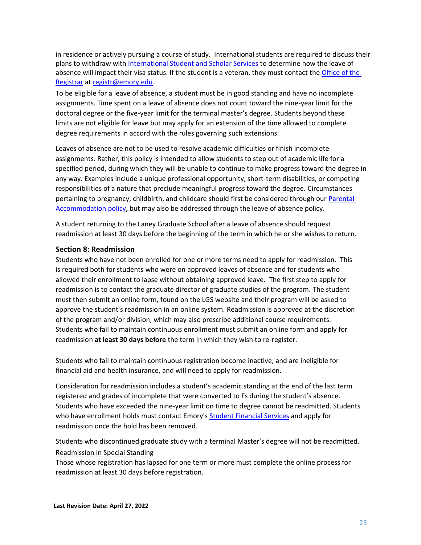in residence or actively pursuing a course of study. International students are required to discuss their plans to withdraw with [International Student and Scholar Services](http://isss.emory.edu/) to determine how the leave of absence will impact their visa status. If the student is a veteran, they must contact the Office of the [Registrar](http://www.registrar.emory.edu/) at [registr@emory.edu.](mailto:registr@emory.edu)

To be eligible for a leave of absence, a student must be in good standing and have no incomplete assignments. Time spent on a leave of absence does not count toward the nine-year limit for the doctoral degree or the five-year limit for the terminal master's degree. Students beyond these limits are not eligible for leave but may apply for an extension of the time allowed to complete degree requirements in accord with the rules governing such extensions.

Leaves of absence are not to be used to resolve academic difficulties or finish incomplete assignments. Rather, this policy is intended to allow students to step out of academic life for a specified period, during which they will be unable to continue to make progress toward the degree in any way. Examples include a unique professional opportunity, short-term disabilities, or competing responsibilities of a nature that preclude meaningful progress toward the degree. Circumstances pertaining to pregnancy, childbirth, and childcare should first be considered through our [Parental](#page-23-0)  [Accommodation policy](#page-23-0)**,** but may also be addressed through the leave of absence policy.

A student returning to the Laney Graduate School after a leave of absence should request readmission at least 30 days before the beginning of the term in which he or she wishes to return.

#### <span id="page-22-0"></span>**Section 8: Readmission**

Students who have not been enrolled for one or more terms need to apply for readmission. This is required both for students who were on approved leaves of absence and for students who allowed their enrollment to lapse without obtaining approved leave. The first step to apply for readmission is to contact the graduate director of graduate studies of the program. The student must then submit an online form, found on the LGS website and their program will be asked to approve the student's readmission in an online system. Readmission is approved at the discretion of the program and/or division, which may also prescribe additional course requirements. Students who fail to maintain continuous enrollment must submit an online form and apply for readmission **at least 30 days before** the term in which they wish to re-register.

Students who fail to maintain continuous registration become inactive, and are ineligible for financial aid and health insurance, and will need to apply for readmission.

Consideration for readmission includes a student's academic standing at the end of the last term registered and grades of incomplete that were converted to Fs during the student's absence. Students who have exceeded the nine-year limit on time to degree cannot be readmitted. Students who have enrollment holds must contact Emory's [Student Financial Services](http://studentfinancials.emory.edu/) and apply for readmission once the hold has been removed.

<span id="page-22-1"></span>Students who discontinued graduate study with a terminal Master's degree will not be readmitted. Readmission in Special Standing

Those whose registration has lapsed for one term or more must complete the online process for readmission at least 30 days before registration.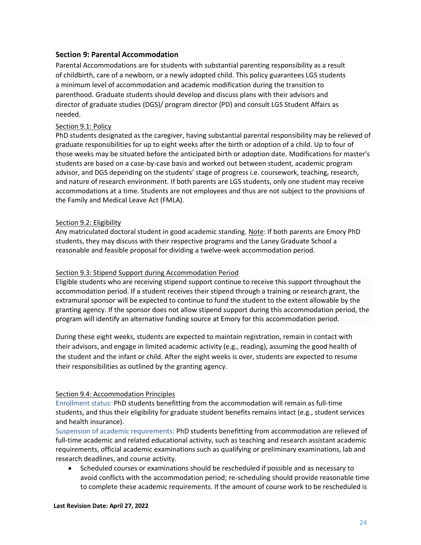#### <span id="page-23-0"></span>**Section 9: Parental Accommodation**

Parental Accommodations are for students with substantial parenting responsibility as a result of childbirth, care of a newborn, or a newly adopted child. This policy guarantees LGS students a minimum level of accommodation and academic modification during the transition to parenthood. Graduate students should develop and discuss plans with their advisors and director of graduate studies (DGS)/ program director (PD) and consult LGS Student Affairs as needed.

#### <span id="page-23-1"></span>Section 9.1: Policy

PhD students designated as the caregiver, having substantial parental responsibility may be relieved of graduate responsibilities for up to eight weeks after the birth or adoption of a child. Up to four of those weeks may be situated before the anticipated birth or adoption date. Modifications for master's students are based on a case-by-case basis and worked out between student, academic program advisor, and DGS depending on the students' stage of progress i.e. coursework, teaching, research, and nature of research environment. If both parents are LGS students, only one student may receive accommodations at a time. Students are not employees and thus are not subject to the provisions of the Family and Medical Leave Act (FMLA).

#### <span id="page-23-2"></span>Section 9.2: Eligibility

Any matriculated doctoral student in good academic standing. Note: If both parents are Emory PhD students, they may discuss with their respective programs and the Laney Graduate School a reasonable and feasible proposal for dividing a twelve-week accommodation period.

#### <span id="page-23-3"></span>Section 9.3: Stipend Support during Accommodation Period

Eligible students who are receiving stipend support continue to receive this support throughout the accommodation period. If a student receives their stipend through a training or research grant, the extramural sponsor will be expected to continue to fund the student to the extent allowable by the granting agency. If the sponsor does not allow stipend support during this accommodation period, the program will identify an alternative funding source at Emory for this accommodation period.

During these eight weeks, students are expected to maintain registration, remain in contact with their advisors, and engage in limited academic activity (e.g., reading), assuming the good health of the student and the infant or child. After the eight weeks is over, students are expected to resume their responsibilities as outlined by the granting agency.

#### <span id="page-23-4"></span>Section 9.4: Accommodation Principles

<span id="page-23-5"></span>Enrollment status: PhD students benefitting from the accommodation will remain as full-time students, and thus their eligibility for graduate student benefits remains intact (e.g., student services and health insurance).

<span id="page-23-6"></span>Suspension of academic requirements: PhD students benefitting from accommodation are relieved of full-time academic and related educational activity, such as teaching and research assistant academic requirements, official academic examinations such as qualifying or preliminary examinations, lab and research deadlines, and course activity.

• Scheduled courses or examinations should be rescheduled if possible and as necessary to avoid conflicts with the accommodation period; re-scheduling should provide reasonable time to complete these academic requirements. If the amount of course work to be rescheduled is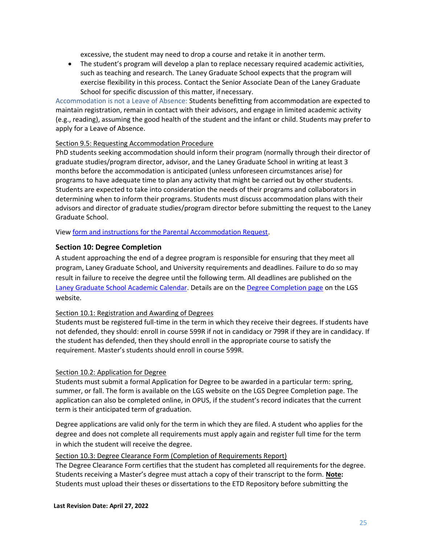excessive, the student may need to drop a course and retake it in another term.

• The student's program will develop a plan to replace necessary required academic activities, such as teaching and research. The Laney Graduate School expects that the program will exercise flexibility in this process. Contact the Senior Associate Dean of the Laney Graduate School for specific discussion of this matter, if necessary.

<span id="page-24-0"></span>Accommodation is not a Leave of Absence: Students benefitting from accommodation are expected to maintain registration, remain in contact with their advisors, and engage in limited academic activity (e.g., reading), assuming the good health of the student and the infant or child. Students may prefer to apply for a [Leave of Absence.](#page-21-0)

#### <span id="page-24-1"></span>Section 9.5: Requesting Accommodation Procedure

PhD students seeking accommodation should inform their program (normally through their director of graduate studies/program director, advisor, and the Laney Graduate School in writing at least 3 months before the accommodation is anticipated (unless unforeseen circumstances arise) for programs to have adequate time to plan any activity that might be carried out by other students. Students are expected to take into consideration the needs of their programs and collaborators in determining when to inform their programs. Students must discuss accommodation plans with their advisors and director of graduate studies/program director before submitting the request to the Laney Graduate School.

Vie[w form and instructions for the Parental Accommodation Request.](https://www.gs.emory.edu/academics/policies-progress/absence.html)

#### <span id="page-24-2"></span>**Section 10: Degree Completion**

A student approaching the end of a degree program is responsible for ensuring that they meet all program, Laney Graduate School, and University requirements and deadlines. Failure to do so may result in failure to receive the degree until the following term. All deadlines are published on the [Laney Graduate School Academic Calendar.](http://www.trumba.com/calendars/Emory_Grad_School_Academic) Details are on the [Degree Completion page](http://gs.emory.edu/academics/completion/index.html) on the LGS website.

#### <span id="page-24-3"></span>Section 10.1: Registration and Awarding of Degrees

Students must be registered full-time in the term in which they receive their degrees. If students have not defended, they should: enroll in course 599R if not in candidacy or 799R if they are in candidacy. If the student has defended, then they should enroll in the appropriate course to satisfy the requirement. Master's students should enroll in course 599R.

#### <span id="page-24-4"></span>Section 10.2: Application for Degree

Students must submit a formal Application for Degree to be awarded in a particular term: spring, summer, or fall. The form is available on the LGS website on the LGS [Degree Completion page. T](http://gs.emory.edu/academics/completion/index.html)he application can also be completed online, in OPUS, if the student's record indicates that the current term is their anticipated term of graduation.

Degree applications are valid only for the term in which they are filed. A student who applies for the degree and does not complete all requirements must apply again and register full time for the term in which the student will receive the degree.

## <span id="page-24-5"></span>Section 10.3: Degree Clearance Form (Completion of Requirements Report)

The Degree Clearance Form certifies that the student has completed all requirements for the degree. Students receiving a Master's degree must attach a copy of their transcript to the form. **Note:**  Students must upload their theses or dissertations to the ETD Repository before submitting the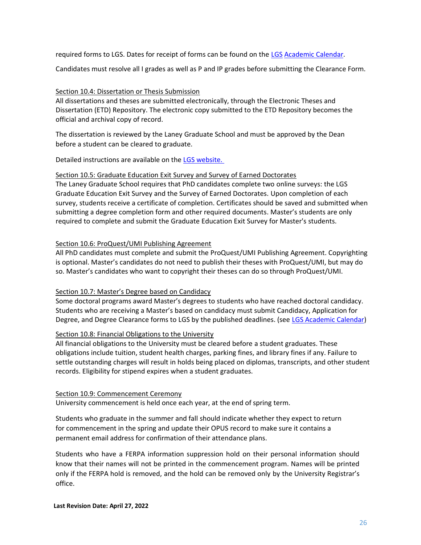required forms to LGS. Dates for receipt of forms can be found on the [LGS](http://www.trumba.com/calendars/Emory_Grad_School_Academic) [Academic Calendar.](http://www.trumba.com/calendars/Emory_Grad_School_Academic)

Candidates must resolve all I grades as well as P and IP grades before submitting the Clearance Form.

#### <span id="page-25-0"></span>Section 10.4: Dissertation or Thesis Submission

All dissertations and theses are submitted electronically, through the Electronic Theses and Dissertation (ETD) Repository. The electronic copy submitted to the ETD Repository becomes the official and archival copy of record.

The dissertation is reviewed by the Laney Graduate School and must be approved by the Dean before a student can be cleared to graduate.

Detailed instructions are available on the [LGS website.](http://gs.emory.edu/academics/completion/index.html) 

#### <span id="page-25-1"></span>Section 10.5: Graduate Education Exit Survey and Survey of Earned Doctorates

The Laney Graduate School requires that PhD candidates complete two online surveys: the LGS Graduate Education Exit Survey and the Survey of Earned Doctorates. Upon completion of each survey, students receive a certificate of completion. Certificates should be saved and submitted when submitting a degree completion form and other required documents. Master's students are only required to complete and submit the Graduate Education Exit Survey for Master's students.

#### <span id="page-25-2"></span>Section 10.6: ProQuest/UMI Publishing Agreement

All PhD candidates must complete and submit the ProQuest/UMI Publishing Agreement. Copyrighting is optional. Master's candidates do not need to publish their theses with ProQuest/UMI, but may do so. Master's candidates who want to copyright their theses can do so through ProQuest/UMI.

## <span id="page-25-3"></span>Section 10.7: Master's Degree based on Candidacy

Some doctoral programs award Master's degrees to students who have reached doctoral candidacy. Students who are receiving a Master's based on candidacy must submit Candidacy, Application for Degree, and Degree Clearance forms to LGS by the published deadlines. (see [LGS Academic Calendar\)](http://www.trumba.com/calendars/Emory_Grad_School_Academic)

#### <span id="page-25-4"></span>Section 10.8: Financial Obligations to the University

All financial obligations to the University must be cleared before a student graduates. These obligations include tuition, student health charges, parking fines, and library fines if any. Failure to settle outstanding charges will result in holds being placed on diplomas, transcripts, and other student records. Eligibility for stipend expires when a student graduates.

#### <span id="page-25-5"></span>Section 10.9: Commencement Ceremony

University commencement is held once each year, at the end of spring term.

Students who graduate in the summer and fall should indicate whether they expect to return for commencement in the spring and update their OPUS record to make sure it contains a permanent email address for confirmation of their attendance plans.

Students who have a FERPA information suppression hold on their personal information should know that their names will not be printed in the commencement program. Names will be printed only if the FERPA hold is removed, and the hold can be removed only by the University Registrar's office.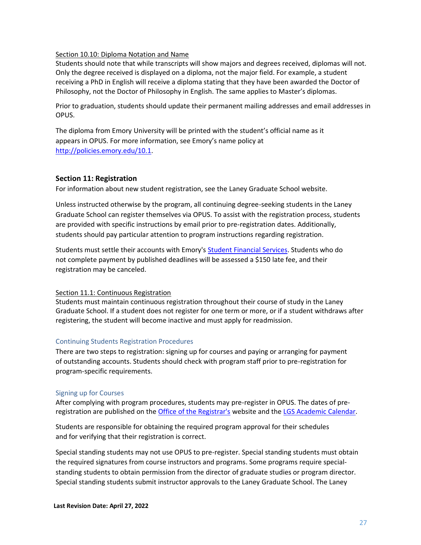#### <span id="page-26-0"></span>Section 10.10: Diploma Notation and Name

Students should note that while transcripts will show majors and degrees received, diplomas will not. Only the degree received is displayed on a diploma, not the major field. For example, a student receiving a PhD in English will receive a diploma stating that they have been awarded the Doctor of Philosophy, not the Doctor of Philosophy in English. The same applies to Master's diplomas.

Prior to graduation, students should update their permanent mailing addresses and email addresses in OPUS.

The diploma from Emory University will be printed with the student's official name as it appears in OPUS. For more information, see Emory's name policy at [http://policies.emory.edu/10.1.](http://policies.emory.edu/10.1)

#### <span id="page-26-1"></span>**Section 11: Registration**

For information about new student registration, see the Laney Graduate School website.

Unless instructed otherwise by the program, all continuing degree-seeking students in the Laney Graduate School can register themselves via OPUS. To assist with the registration process, students are provided with specific instructions by email prior to pre-registration dates. Additionally, students should pay particular attention to program instructions regarding registration.

Students must settle their accounts with Emory's [Student Financial Services. S](http://studentfinancials.emory.edu/)tudents who do not complete payment by published deadlines will be assessed a \$150 late fee, and their registration may be canceled.

#### <span id="page-26-2"></span>Section 11.1: Continuous Registration

Students must maintain continuous registration throughout their course of study in the Laney Graduate School. If a student does not register for one term or more, or if a student withdraws after registering, the student will become inactive and must apply for readmission.

#### <span id="page-26-3"></span>Continuing Students Registration Procedures

There are two steps to registration: signing up for courses and paying or arranging for payment of outstanding accounts. Students should check with program staff prior to pre-registration for program-specific requirements.

#### <span id="page-26-4"></span>Signing up for Courses

After complying with program procedures, students may pre-register in OPUS. The dates of preregistration are published on the [Office of the Registrar's](http://registrar.emory.edu/index.html) website and the [LGS Academic Calendar.](http://www.trumba.com/calendars/Emory_Grad_School_Academic)

Students are responsible for obtaining the required program approval for their schedules and for verifying that their registration is correct.

Special standing students may not use OPUS to pre-register. Special standing students must obtain the required signatures from course instructors and programs. Some programs require specialstanding students to obtain permission from the director of graduate studies or program director. Special standing students submit instructor approvals to the Laney Graduate School. The Laney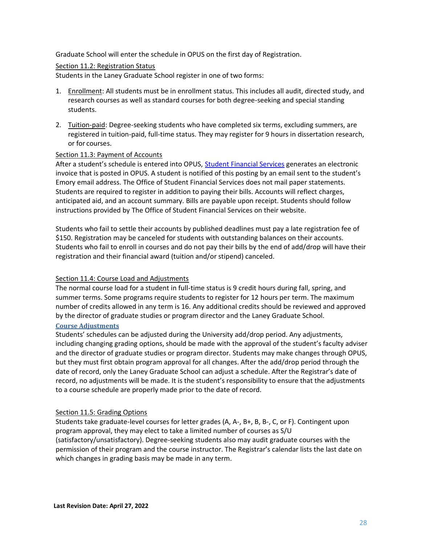Graduate School will enter the schedule in OPUS on the first day of Registration.

#### <span id="page-27-0"></span>Section 11.2: Registration Status

Students in the Laney Graduate School register in one of two forms:

- 1. Enrollment: All students must be in enrollment status. This includes all audit, directed study, and research courses as well as standard courses for both degree-seeking and special standing students.
- 2. Tuition-paid: Degree-seeking students who have completed six terms, excluding summers, are registered in tuition-paid, full-time status. They may register for 9 hours in dissertation research, or for courses.

#### <span id="page-27-1"></span>Section 11.3: Payment of Accounts

After a student's schedule is entered into OPUS, [Student Financial Services](http://studentfinancials.emory.edu/) generates an electronic invoice that is posted in OPUS. A student is notified of this posting by an email sent to the student's Emory email address. The Office of Student Financial Services does not mail paper statements. Students are required to register in addition to paying their bills. Accounts will reflect charges, anticipated aid, and an account summary. Bills are payable upon receipt. Students should follow instructions provided by The Office of Student Financial Services on their website.

Students who fail to settle their accounts by published deadlines must pay a late registration fee of \$150. Registration may be canceled for students with outstanding balances on their accounts. Students who fail to enroll in courses and do not pay their bills by the end of add/drop will have their registration and their financial award (tuition and/or stipend) canceled.

#### <span id="page-27-2"></span>Section 11.4: Course Load and Adjustments

The normal course load for a student in full-time status is 9 credit hours during fall, spring, and summer terms. Some programs require students to register for 12 hours per term. The maximum number of credits allowed in any term is 16. Any additional credits should be reviewed and approved by the director of graduate studies or program director and the Laney Graduate School. **Course Adjustments**

<span id="page-27-3"></span>Students' schedules can be adjusted during the University add/drop period. Any adjustments, including changing grading options, should be made with the approval of the student's faculty adviser and the director of graduate studies or program director. Students may make changes through OPUS, but they must first obtain program approval for all changes. After the add/drop period through the date of record, only the Laney Graduate School can adjust a schedule. After the Registrar's date of record, no adjustments will be made. It is the student's responsibility to ensure that the adjustments to a course schedule are properly made prior to the date of record.

#### <span id="page-27-4"></span>Section 11.5: Grading Options

Students take graduate-level courses for letter grades (A, A-, B+, B, B-, C, or F). Contingent upon program approval, they may elect to take a limited number of courses as S/U (satisfactory/unsatisfactory). Degree-seeking students also may audit graduate courses with the permission of their program and the course instructor. The Registrar's calendar lists the last date on which changes in grading basis may be made in any term.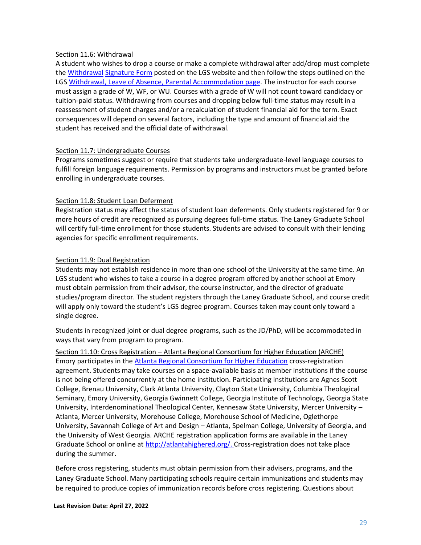#### <span id="page-28-0"></span>Section 11.6: Withdrawal

A student who wishes to drop a course or make a complete withdrawal after add/drop must complete th[e Withdrawal](http://gs.emory.edu/academics/policies/absence.html) [Signature Form](https://gs.emory.edu/academics/policies-progress/absence.html) posted on the LGS website and then follow the steps outlined on the LGS [Withdrawal, Leave of Absence,](http://gs.emory.edu/academics/policies/absence.html) [Parental Accommodation page. T](https://gs.emory.edu/academics/policies-progress/absence.html)he instructor for each course must assign a grade of W, WF, or WU. Courses with a grade of W will not count toward candidacy or tuition-paid status. Withdrawing from courses and dropping below full-time status may result in a reassessment of student charges and/or a recalculation of student financial aid for the term. Exact consequences will depend on several factors, including the type and amount of financial aid the student has received and the official date of withdrawal.

#### <span id="page-28-1"></span>Section 11.7: Undergraduate Courses

Programs sometimes suggest or require that students take undergraduate-level language courses to fulfill foreign language requirements. Permission by programs and instructors must be granted before enrolling in undergraduate courses.

#### <span id="page-28-2"></span>Section 11.8: Student Loan Deferment

Registration status may affect the status of student loan deferments. Only students registered for 9 or more hours of credit are recognized as pursuing degrees full-time status. The Laney Graduate School will certify full-time enrollment for those students. Students are advised to consult with their lending agencies for specific enrollment requirements.

#### <span id="page-28-3"></span>Section 11.9: Dual Registration

Students may not establish residence in more than one school of the University at the same time. An LGS student who wishes to take a course in a degree program offered by another school at Emory must obtain permission from their advisor, the course instructor, and the director of graduate studies/program director. The student registers through the Laney Graduate School, and course credit will apply only toward the student's LGS degree program. Courses taken may count only toward a single degree.

Students in recognized joint or dual degree programs, such as the JD/PhD, will be accommodated in ways that vary from program to program.

<span id="page-28-4"></span>Section 11.10: Cross Registration – Atlanta Regional Consortium for Higher Education (ARCHE) Emory participates in th[e Atlanta Regional Consortium for Higher Education](http://www.atlantahighered.org/) cross-registration agreement. Students may take courses on a space-available basis at member institutions if the course is not being offered concurrently at the home institution. Participating institutions are Agnes Scott College, Brenau University, Clark Atlanta University, Clayton State University, Columbia Theological Seminary, Emory University, Georgia Gwinnett College, Georgia Institute of Technology, Georgia State University, Interdenominational Theological Center, Kennesaw State University, Mercer University – Atlanta, Mercer University, Morehouse College, Morehouse School of Medicine, Oglethorpe University, Savannah College of Art and Design – Atlanta, Spelman College, University of Georgia, and the University of West Georgia. ARCHE registration application forms are available in the Laney Graduate School or online at [http://atlantahighered.org/. C](http://atlantahighered.org/)ross-registration does not take place during the summer.

Before cross registering, students must obtain permission from their advisers, programs, and the Laney Graduate School. Many participating schools require certain immunizations and students may be required to produce copies of immunization records before cross registering. Questions about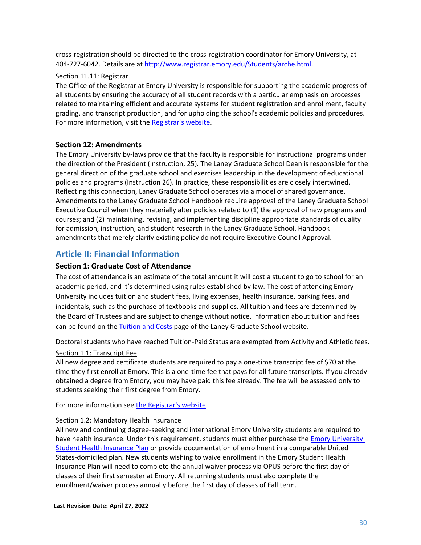cross-registration should be directed to the cross-registration coordinator for Emory University, at 404-727-6042. Details are at [http://www.registrar.emory.edu/Students/arche.html.](http://www.registrar.emory.edu/Students/arche.html)

#### <span id="page-29-0"></span>Section 11.11: Registrar

The Office of the Registrar at Emory University is responsible for supporting the academic progress of all students by ensuring the accuracy of all student records with a particular emphasis on processes related to maintaining efficient and accurate systems for student registration and enrollment, faculty grading, and transcript production, and for upholding the school's academic policies and procedures. For more information, visit the [Registrar's website](http://www.registrar.emory.edu/).

#### <span id="page-29-1"></span>**Section 12: Amendments**

The Emory University by-laws provide that the faculty is responsible for instructional programs under the direction of the President (Instruction, 25). The Laney Graduate School Dean is responsible for the general direction of the graduate school and exercises leadership in the development of educational policies and programs (Instruction 26). In practice, these responsibilities are closely intertwined. Reflecting this connection, Laney Graduate School operates via a model of shared governance. Amendments to the Laney Graduate School Handbook require approval of the Laney Graduate School Executive Council when they materially alter policies related to (1) the approval of new programs and courses; and (2) maintaining, revising, and implementing discipline appropriate standards of quality for admission, instruction, and student research in the Laney Graduate School. Handbook amendments that merely clarify existing policy do not require Executive Council Approval.

## <span id="page-29-2"></span>**Article II: Financial Information**

## <span id="page-29-3"></span>**Section 1: Graduate Cost of Attendance**

The cost of attendance is an estimate of the total amount it will cost a student to go to school for an academic period, and it's determined using rules established by law. The cost of attending Emory University includes tuition and student fees, living expenses, health insurance, parking fees, and incidentals, such as the purchase of textbooks and supplies. All tuition and fees are determined by the Board of Trustees and are subject to change without notice. Information about tuition and fees can be found on the [Tuition and Costs](http://gs.emory.edu/funding/tuition.html) page of the Laney Graduate School website.

Doctoral students who have reached Tuition-Paid Status are exempted from Activity and Athletic fees.

#### <span id="page-29-4"></span>Section 1.1: Transcript Fee

All new degree and certificate students are required to pay a one-time transcript fee of \$70 at the time they first enroll at Emory. This is a one-time fee that pays for all future transcripts. If you already obtained a degree from Emory, you may have paid this fee already. The fee will be assessed only to students seeking their first degree from Emory.

For more information see [the Registrar's website.](http://www.registrar.emory.edu/Students/Transcripts/index.html)

#### <span id="page-29-5"></span>Section 1.2: Mandatory Health Insurance

All new and continuing degree-seeking and international Emory University students are required to have health insurance. Under this requirement, students must either purchase the **Emory University** [Student Health Insurance Plan](http://studenthealth.emory.edu/hs/new_students/aetna/index.html) or provide documentation of enrollment in a comparable United States-domiciled plan. New students wishing to waive enrollment in the Emory Student Health Insurance Plan will need to complete the annual waiver process via OPUS before the first day of classes of their first semester at Emory. All returning students must also complete the enrollment/waiver process annually before the first day of classes of Fall term.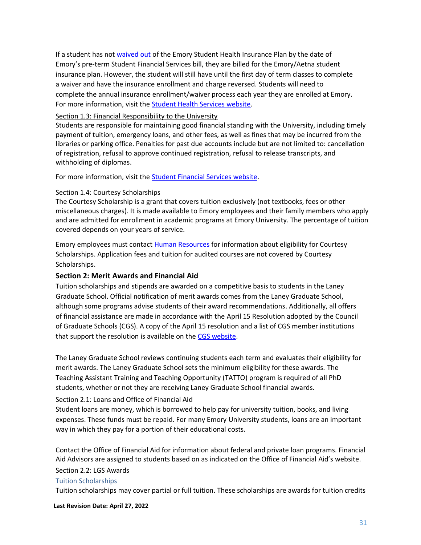If a student has not [waived out](http://studenthealth.emory.edu/hs/new_students/health_insurance/waiver_process.html) of the Emory Student Health Insurance Plan by the date of Emory's pre-term Student Financial Services bill, they are billed for the Emory/Aetna student insurance plan. However, the student will still have until the first day of term classes to complete a waiver and have the insurance enrollment and charge reversed. Students will need to complete the annual insurance enrollment/waiver process each year they are enrolled at Emory. For more information, visit the [Student Health Services website.](http://studenthealth.emory.edu/hs/insurance_fees/health_insurance/index.html)

#### <span id="page-30-0"></span>Section 1.3: Financial Responsibility to the University

Students are responsible for maintaining good financial standing with the University, including timely payment of tuition, emergency loans, and other fees, as well as fines that may be incurred from the libraries or parking office. Penalties for past due accounts include but are not limited to: cancellation of registration, refusal to approve continued registration, refusal to release transcripts, and withholding of diplomas.

For more information, visit the [Student Financial Services website.](http://studentfinancials.emory.edu/)

#### <span id="page-30-1"></span>Section 1.4: Courtesy Scholarships

The Courtesy Scholarship is a grant that covers tuition exclusively (not textbooks, fees or other miscellaneous charges). It is made available to Emory employees and their family members who apply and are admitted for enrollment in academic programs at Emory University. The percentage of tuition covered depends on your years of service.

Emory employees must contact [Human Resources](http://www.hr.emory.edu/eu/benefits/courtesyscholarship/courtesyscholarship.html) for information about eligibility for Courtesy Scholarships. Application fees and tuition for audited courses are not covered by Courtesy Scholarships.

## <span id="page-30-2"></span>**Section 2: Merit Awards and Financial Aid**

Tuition scholarships and stipends are awarded on a competitive basis to students in the Laney Graduate School. Official notification of merit awards comes from the Laney Graduate School, although some programs advise students of their award recommendations. Additionally, all offers of financial assistance are made in accordance with the April 15 Resolution adopted by the Council of Graduate Schools (CGS). A copy of the April 15 resolution and a list of CGS member institutions that support the resolution is available on th[e CGS website.](http://cgsnet.org/)

The Laney Graduate School reviews continuing students each term and evaluates their eligibility for merit awards. The Laney Graduate School sets the minimum eligibility for these awards. The Teaching Assistant Training and Teaching Opportunity (TATTO) program is required of all PhD students, whether or not they are receiving Laney Graduate School financial awards.

## <span id="page-30-3"></span>Section 2.1: Loans and Office of Financial Aid

Student loans are money, which is borrowed to help pay for university tuition, books, and living expenses. These funds must be repaid. For many Emory University students, loans are an important way in which they pay for a portion of their educational costs.

Contact th[e Office of Financial Aid f](http://studentaid.emory.edu/apply/gsas/index.html)or information about federal and private loan programs. Financial Aid Advisors are assigned to students based on as indicated on the Office of Financial Aid's website. Section 2.2: LGS Awards

#### <span id="page-30-5"></span><span id="page-30-4"></span>Tuition Scholarships

Tuition scholarships may cover partial or full tuition. These scholarships are awards for tuition credits

**Last Revision Date: April 27, 2022**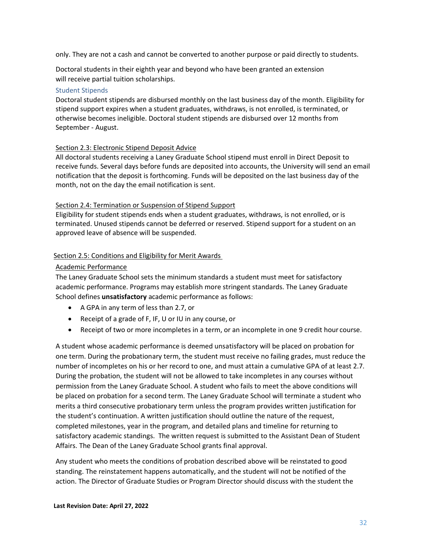only. They are not a cash and cannot be converted to another purpose or paid directly to students.

Doctoral students in their eighth year and beyond who have been granted an extension will receive partial tuition scholarships.

#### <span id="page-31-0"></span>Student Stipends

Doctoral student stipends are disbursed monthly on the last business day of the month. Eligibility for stipend support expires when a student graduates, withdraws, is not enrolled, is terminated, or otherwise becomes ineligible. Doctoral student stipends are disbursed over 12 months from September - August.

#### <span id="page-31-1"></span>Section 2.3: Electronic Stipend Deposit Advice

All doctoral students receiving a Laney Graduate School stipend must enroll in Direct Deposit to receive funds. Several days before funds are deposited into accounts, the University will send an email notification that the deposit is forthcoming. Funds will be deposited on the last business day of the month, not on the day the email notification is sent.

#### <span id="page-31-2"></span>Section 2.4: Termination or Suspension of Stipend Support

Eligibility for student stipends ends when a student graduates, withdraws, is not enrolled, or is terminated. Unused stipends cannot be deferred or reserved. Stipend support for a student on an approved leave of absence will be suspended.

#### <span id="page-31-3"></span>Section 2.5: Conditions and Eligibility for Merit Awards

#### <span id="page-31-4"></span>Academic Performance

The Laney Graduate School sets the minimum standards a student must meet for satisfactory academic performance. Programs may establish more stringent standards. The Laney Graduate School defines **unsatisfactory** academic performance as follows:

- A GPA in any term of less than 2.7, or
- Receipt of a grade of F, IF, U or IU in any course, or
- Receipt of two or more incompletes in a term, or an incomplete in one 9 credit hour course.

A student whose academic performance is deemed unsatisfactory will be placed on probation for one term. During the probationary term, the student must receive no failing grades, must reduce the number of incompletes on his or her record to one, and must attain a cumulative GPA of at least 2.7. During the probation, the student will not be allowed to take incompletes in any courses without permission from the Laney Graduate School. A student who fails to meet the above conditions will be placed on probation for a second term. The Laney Graduate School will terminate a student who merits a third consecutive probationary term unless the program provides written justification for the student's continuation. A written justification should outline the nature of the request, completed milestones, year in the program, and detailed plans and timeline for returning to satisfactory academic standings. The written request is submitted to the Assistant Dean of Student Affairs. The Dean of the Laney Graduate School grants final approval.

Any student who meets the conditions of probation described above will be reinstated to good standing. The reinstatement happens automatically, and the student will not be notified of the action. The Director of Graduate Studies or Program Director should discuss with the student the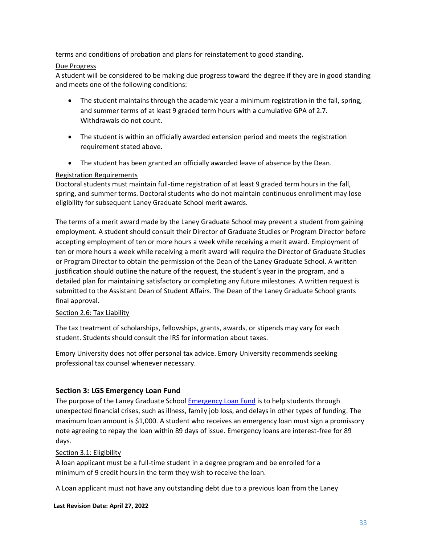terms and conditions of probation and plans for reinstatement to good standing.

## <span id="page-32-0"></span>Due Progress

A student will be considered to be making due progress toward the degree if they are in good standing and meets one of the following conditions:

- The student maintains through the academic year a minimum registration in the fall, spring, and summer terms of at least 9 graded term hours with a cumulative GPA of 2.7. Withdrawals do not count.
- The student is within an officially awarded extension period and meets the registration requirement stated above.
- The student has been granted an officially awarded leave of absence by the Dean.

#### <span id="page-32-1"></span>Registration Requirements

Doctoral students must maintain full-time registration of at least 9 graded term hours in the fall, spring, and summer terms. Doctoral students who do not maintain continuous enrollment may lose eligibility for subsequent Laney Graduate School merit awards.

The terms of a merit award made by the Laney Graduate School may prevent a student from gaining employment. A student should consult their Director of Graduate Studies or Program Director before accepting employment of ten or more hours a week while receiving a merit award. Employment of ten or more hours a week while receiving a merit award will require the Director of Graduate Studies or Program Director to obtain the permission of the Dean of the Laney Graduate School. A written justification should outline the nature of the request, the student's year in the program, and a detailed plan for maintaining satisfactory or completing any future milestones. A written request is submitted to the Assistant Dean of Student Affairs. The Dean of the Laney Graduate School grants final approval.

#### <span id="page-32-2"></span>Section 2.6: Tax Liability

The tax treatment of scholarships, fellowships, grants, awards, or stipends may vary for each student. Students should consult the IRS for information about taxes.

Emory University does not offer personal tax advice. Emory University recommends seeking professional tax counsel whenever necessary.

## <span id="page-32-3"></span>**Section 3: LGS Emergency Loan Fund**

The purpose of the Laney Graduate School [Emergency Loan Fund](http://gs.emory.edu/funding/emergency_loans.html) is to help students through unexpected financial crises, such as illness, family job loss, and delays in other types of funding. The maximum loan amount is \$1,000. A student who receives an emergency loan must sign a promissory note agreeing to repay the loan within 89 days of issue. Emergency loans are interest-free for 89 days.

#### <span id="page-32-4"></span>Section 3.1: Eligibility

A loan applicant must be a full-time student in a degree program and be enrolled for a minimum of 9 credit hours in the term they wish to receive the loan.

A Loan applicant must not have any outstanding debt due to a previous loan from the Laney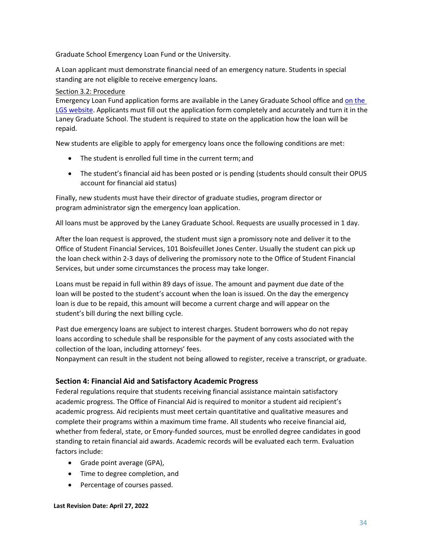Graduate School Emergency Loan Fund or the University.

A Loan applicant must demonstrate financial need of an emergency nature. Students in special standing are not eligible to receive emergency loans.

## <span id="page-33-0"></span>Section 3.2: Procedure

Emergency Loan Fund application forms are available in the Laney Graduate School office and [on the](http://gs.emory.edu/funding/emergency_loans.html)  [LGS website.](http://gs.emory.edu/funding/emergency_loans.html) Applicants must fill out the application form completely and accurately and turn it in the Laney Graduate School. The student is required to state on the application how the loan will be repaid.

New students are eligible to apply for emergency loans once the following conditions are met:

- The student is enrolled full time in the current term; and
- The student's financial aid has been posted or is pending (students should consult their OPUS account for financial aid status)

Finally, new students must have their director of graduate studies, program director or program administrator sign the emergency loan application.

All loans must be approved by the Laney Graduate School. Requests are usually processed in 1 day.

After the loan request is approved, the student must sign a promissory note and deliver it to the Office of Student Financial Services, 101 Boisfeuillet Jones Center. Usually the student can pick up the loan check within 2-3 days of delivering the promissory note to the Office of Student Financial Services, but under some circumstances the process may take longer.

Loans must be repaid in full within 89 days of issue. The amount and payment due date of the loan will be posted to the student's account when the loan is issued. On the day the emergency loan is due to be repaid, this amount will become a current charge and will appear on the student's bill during the next billing cycle.

Past due emergency loans are subject to interest charges. Student borrowers who do not repay loans according to schedule shall be responsible for the payment of any costs associated with the collection of the loan, including attorneys' fees.

Nonpayment can result in the student not being allowed to register, receive a transcript, or graduate.

## <span id="page-33-1"></span>**Section 4: Financial Aid and Satisfactory Academic Progress**

Federal regulations require that students receiving financial assistance maintain satisfactory academic progress. The Office of Financial Aid is required to monitor a student aid recipient's academic progress. Aid recipients must meet certain quantitative and qualitative measures and complete their programs within a maximum time frame. All students who receive financial aid, whether from federal, state, or Emory-funded sources, must be enrolled degree candidates in good standing to retain financial aid awards. Academic records will be evaluated each term. Evaluation factors include:

- Grade point average (GPA),
- Time to degree completion, and
- Percentage of courses passed.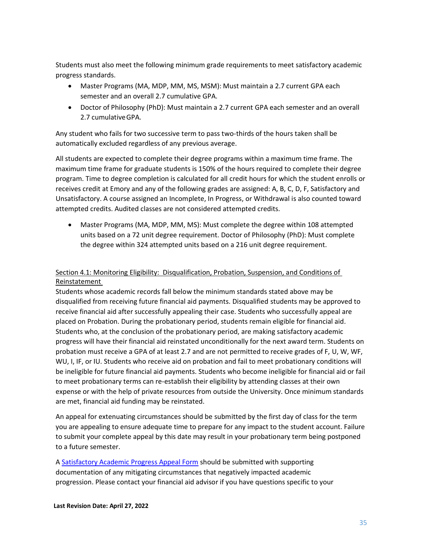Students must also meet the following minimum grade requirements to meet satisfactory academic progress standards.

- Master Programs (MA, MDP, MM, MS, MSM): Must maintain a 2.7 current GPA each semester and an overall 2.7 cumulative GPA.
- Doctor of Philosophy (PhD): Must maintain a 2.7 current GPA each semester and an overall 2.7 cumulativeGPA.

Any student who fails for two successive term to pass two-thirds of the hours taken shall be automatically excluded regardless of any previous average.

All students are expected to complete their degree programs within a maximum time frame. The maximum time frame for graduate students is 150% of the hours required to complete their degree program. Time to degree completion is calculated for all credit hours for which the student enrolls or receives credit at Emory and any of the following grades are assigned: A, B, C, D, F, Satisfactory and Unsatisfactory. A course assigned an Incomplete, In Progress, or Withdrawal is also counted toward attempted credits. Audited classes are not considered attempted credits.

• Master Programs (MA, MDP, MM, MS): Must complete the degree within 108 attempted units based on a 72 unit degree requirement. Doctor of Philosophy (PhD): Must complete the degree within 324 attempted units based on a 216 unit degree requirement.

## <span id="page-34-0"></span>Section 4.1: Monitoring Eligibility: Disqualification, Probation, Suspension, and Conditions of Reinstatement

Students whose academic records fall below the minimum standards stated above may be disqualified from receiving future financial aid payments. Disqualified students may be approved to receive financial aid after successfully appealing their case. Students who successfully appeal are placed on Probation. During the probationary period, students remain eligible for financial aid. Students who, at the conclusion of the probationary period, are making satisfactory academic progress will have their financial aid reinstated unconditionally for the next award term. Students on probation must receive a GPA of at least 2.7 and are not permitted to receive grades of F, U, W, WF, WU, I, IF, or IU. Students who receive aid on probation and fail to meet probationary conditions will be ineligible for future financial aid payments. Students who become ineligible for financial aid or fail to meet probationary terms can re-establish their eligibility by attending classes at their own expense or with the help of private resources from outside the University. Once minimum standards are met, financial aid funding may be reinstated.

An appeal for extenuating circumstances should be submitted by the first day of class for the term you are appealing to ensure adequate time to prepare for any impact to the student account. Failure to submit your complete appeal by this date may result in your probationary term being postponed to a future semester.

A [Satisfactory Academic Progress Appeal Form](https://studentaid.emory.edu/_includes/documents/sections/undergraduate/eligibility/satisfactory-academic-progress-policy.pdf) should be submitted with supporting documentation of any mitigating circumstances that negatively impacted academic progression. Please contact your financial aid advisor if you have questions specific to your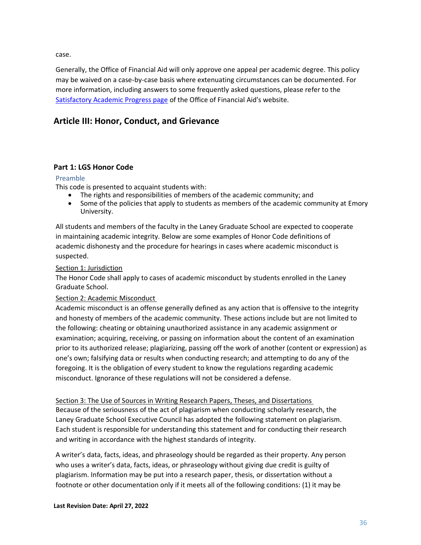case.

Generally, the Office of Financial Aid will only approve one appeal per academic degree. This policy may be waived on a case-by-case basis where extenuating circumstances can be documented. For more information, including answers to some frequently asked questions, please refer to the [Satisfactory Academic Progress page](http://studentaid.emory.edu/eligibility/sap/index.html) of the Office of Financial Aid's website.

## <span id="page-35-0"></span>**Article III: Honor, Conduct, and Grievance**

## <span id="page-35-1"></span>**Part 1: LGS Honor Code**

#### <span id="page-35-2"></span>Preamble

This code is presented to acquaint students with:

- The rights and responsibilities of members of the academic community; and
- Some of the policies that apply to students as members of the academic community at Emory University.

All students and members of the faculty in the Laney Graduate School are expected to cooperate in maintaining academic integrity. Below are some examples of Honor Code definitions of academic dishonesty and the procedure for hearings in cases where academic misconduct is suspected.

#### <span id="page-35-3"></span>Section 1: Jurisdiction

The Honor Code shall apply to cases of academic misconduct by students enrolled in the Laney Graduate School.

#### <span id="page-35-4"></span>Section 2: Academic Misconduct

Academic misconduct is an offense generally defined as any action that is offensive to the integrity and honesty of members of the academic community. These actions include but are not limited to the following: cheating or obtaining unauthorized assistance in any academic assignment or examination; acquiring, receiving, or passing on information about the content of an examination prior to its authorized release; plagiarizing, passing off the work of another (content or expression) as one's own; falsifying data or results when conducting research; and attempting to do any of the foregoing. It is the obligation of every student to know the regulations regarding academic misconduct. Ignorance of these regulations will not be considered a defense.

<span id="page-35-5"></span>Section 3: The Use of Sources in Writing Research Papers, Theses, and Dissertations

Because of the seriousness of the act of plagiarism when conducting scholarly research, the Laney Graduate School Executive Council has adopted the following statement on plagiarism. Each student is responsible for understanding this statement and for conducting their research and writing in accordance with the highest standards of integrity.

A writer's data, facts, ideas, and phraseology should be regarded as their property. Any person who uses a writer's data, facts, ideas, or phraseology without giving due credit is guilty of plagiarism. Information may be put into a research paper, thesis, or dissertation without a footnote or other documentation only if it meets all of the following conditions: (1) it may be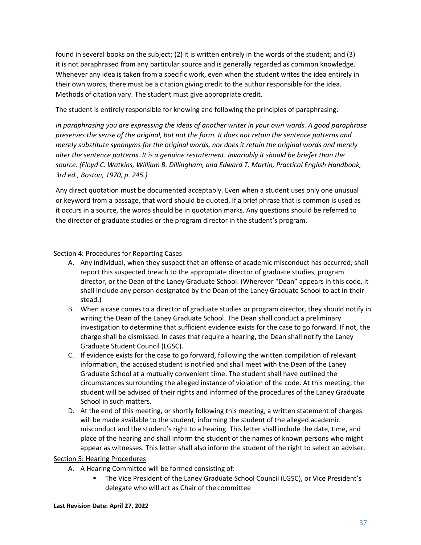found in several books on the subject; (2) it is written entirely in the words of the student; and (3) it is not paraphrased from any particular source and is generally regarded as common knowledge. Whenever any idea is taken from a specific work, even when the student writes the idea entirely in their own words, there must be a citation giving credit to the author responsible for the idea. Methods of citation vary. The student must give appropriate credit.

The student is entirely responsible for knowing and following the principles of paraphrasing:

*In paraphrasing you are expressing the ideas of another writer in your own words. A good paraphrase preserves the sense of the original, but not the form. It does not retain the sentence patterns and merely substitute synonyms for the original words, nor does it retain the original words and merely alter the sentence patterns. It is a genuine restatement. Invariably it should be briefer than the source. (Floyd C. Watkins, William B. Dillingham, and Edward T. Martin, Practical English Handbook, 3rd ed., Boston, 1970, p. 245.)*

Any direct quotation must be documented acceptably. Even when a student uses only one unusual or keyword from a passage, that word should be quoted. If a brief phrase that is common is used as it occurs in a source, the words should be in quotation marks. Any questions should be referred to the director of graduate studies or the program director in the student's program.

#### <span id="page-36-0"></span>Section 4: Procedures for Reporting Cases

- A. Any individual, when they suspect that an offense of academic misconduct has occurred, shall report this suspected breach to the appropriate director of graduate studies, program director, or the Dean of the Laney Graduate School. (Wherever "Dean" appears in this code, it shall include any person designated by the Dean of the Laney Graduate School to act in their stead.)
- B. When a case comes to a director of graduate studies or program director, they should notify in writing the Dean of the Laney Graduate School. The Dean shall conduct a preliminary investigation to determine that sufficient evidence exists for the case to go forward. If not, the charge shall be dismissed. In cases that require a hearing, the Dean shall notify the Laney Graduate Student Council (LGSC).
- C. If evidence exists for the case to go forward, following the written compilation of relevant information, the accused student is notified and shall meet with the Dean of the Laney Graduate School at a mutually convenient time. The student shall have outlined the circumstances surrounding the alleged instance of violation of the code. At this meeting, the student will be advised of their rights and informed of the procedures of the Laney Graduate School in such matters.
- D. At the end of this meeting, or shortly following this meeting, a written statement of charges will be made available to the student, informing the student of the alleged academic misconduct and the student's right to a hearing. This letter shall include the date, time, and place of the hearing and shall inform the student of the names of known persons who might appear as witnesses. This letter shall also inform the student of the right to select an adviser.

#### <span id="page-36-1"></span>Section 5: Hearing Procedures

- A. A Hearing Committee will be formed consisting of:
	- The Vice President of the Laney Graduate School Council (LGSC), or Vice President's delegate who will act as Chair of the committee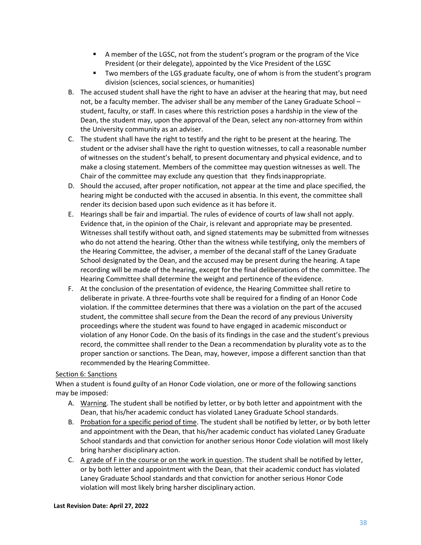- A member of the LGSC, not from the student's program or the program of the Vice President (or their delegate), appointed by the Vice President of the LGSC
- Two members of the LGS graduate faculty, one of whom is from the student's program division (sciences, social sciences, or humanities)
- B. The accused student shall have the right to have an adviser at the hearing that may, but need not, be a faculty member. The adviser shall be any member of the Laney Graduate School – student, faculty, or staff. In cases where this restriction poses a hardship in the view of the Dean, the student may, upon the approval of the Dean, select any non-attorney from within the University community as an adviser.
- C. The student shall have the right to testify and the right to be present at the hearing. The student or the adviser shall have the right to question witnesses, to call a reasonable number of witnesses on the student's behalf, to present documentary and physical evidence, and to make a closing statement. Members of the committee may question witnesses as well. The Chair of the committee may exclude any question that they findsinappropriate.
- D. Should the accused, after proper notification, not appear at the time and place specified, the hearing might be conducted with the accused in absentia. In this event, the committee shall render its decision based upon such evidence as it has before it.
- E. Hearings shall be fair and impartial. The rules of evidence of courts of law shall not apply. Evidence that, in the opinion of the Chair, is relevant and appropriate may be presented. Witnesses shall testify without oath, and signed statements may be submitted from witnesses who do not attend the hearing. Other than the witness while testifying, only the members of the Hearing Committee, the adviser, a member of the decanal staff of the Laney Graduate School designated by the Dean, and the accused may be present during the hearing. A tape recording will be made of the hearing, except for the final deliberations of the committee. The Hearing Committee shall determine the weight and pertinence of theevidence.
- F. At the conclusion of the presentation of evidence, the Hearing Committee shall retire to deliberate in private. A three-fourths vote shall be required for a finding of an Honor Code violation. If the committee determines that there was a violation on the part of the accused student, the committee shall secure from the Dean the record of any previous University proceedings where the student was found to have engaged in academic misconduct or violation of any Honor Code. On the basis of its findings in the case and the student's previous record, the committee shall render to the Dean a recommendation by plurality vote as to the proper sanction or sanctions. The Dean, may, however, impose a different sanction than that recommended by the Hearing Committee.

## <span id="page-37-0"></span>Section 6: Sanctions

When a student is found guilty of an Honor Code violation, one or more of the following sanctions may be imposed:

- A. Warning. The student shall be notified by letter, or by both letter and appointment with the Dean, that his/her academic conduct has violated Laney Graduate School standards.
- B. Probation for a specific period of time. The student shall be notified by letter, or by both letter and appointment with the Dean, that his/her academic conduct has violated Laney Graduate School standards and that conviction for another serious Honor Code violation will most likely bring harsher disciplinary action.
- C. A grade of F in the course or on the work in question. The student shall be notified by letter, or by both letter and appointment with the Dean, that their academic conduct has violated Laney Graduate School standards and that conviction for another serious Honor Code violation will most likely bring harsher disciplinary action.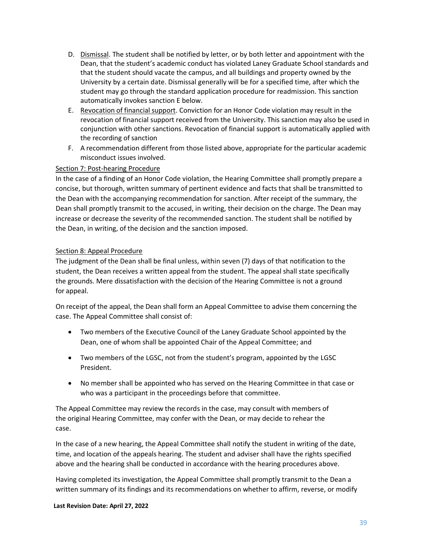- D. Dismissal. The student shall be notified by letter, or by both letter and appointment with the Dean, that the student's academic conduct has violated Laney Graduate School standards and that the student should vacate the campus, and all buildings and property owned by the University by a certain date. Dismissal generally will be for a specified time, after which the student may go through the standard application procedure for readmission. This sanction automatically invokes sanction E below.
- E. Revocation of financial support. Conviction for an Honor Code violation may result in the revocation of financial support received from the University. This sanction may also be used in conjunction with other sanctions. Revocation of financial support is automatically applied with the recording of sanction
- F. A recommendation different from those listed above, appropriate for the particular academic misconduct issues involved.

#### <span id="page-38-0"></span>Section 7: Post-hearing Procedure

In the case of a finding of an Honor Code violation, the Hearing Committee shall promptly prepare a concise, but thorough, written summary of pertinent evidence and facts that shall be transmitted to the Dean with the accompanying recommendation for sanction. After receipt of the summary, the Dean shall promptly transmit to the accused, in writing, their decision on the charge. The Dean may increase or decrease the severity of the recommended sanction. The student shall be notified by the Dean, in writing, of the decision and the sanction imposed.

#### <span id="page-38-1"></span>Section 8: Appeal Procedure

The judgment of the Dean shall be final unless, within seven (7) days of that notification to the student, the Dean receives a written appeal from the student. The appeal shall state specifically the grounds. Mere dissatisfaction with the decision of the Hearing Committee is not a ground for appeal.

On receipt of the appeal, the Dean shall form an Appeal Committee to advise them concerning the case. The Appeal Committee shall consist of:

- Two members of the Executive Council of the Laney Graduate School appointed by the Dean, one of whom shall be appointed Chair of the Appeal Committee; and
- Two members of the LGSC, not from the student's program, appointed by the LGSC President.
- No member shall be appointed who has served on the Hearing Committee in that case or who was a participant in the proceedings before that committee.

The Appeal Committee may review the records in the case, may consult with members of the original Hearing Committee, may confer with the Dean, or may decide to rehear the case.

In the case of a new hearing, the Appeal Committee shall notify the student in writing of the date, time, and location of the appeals hearing. The student and adviser shall have the rights specified above and the hearing shall be conducted in accordance with the hearing procedures above.

Having completed its investigation, the Appeal Committee shall promptly transmit to the Dean a written summary of its findings and its recommendations on whether to affirm, reverse, or modify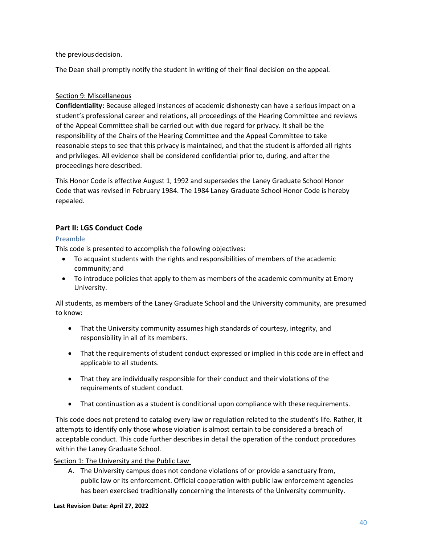the previous decision.

The Dean shall promptly notify the student in writing of their final decision on the appeal.

#### <span id="page-39-0"></span>Section 9: Miscellaneous

**Confidentiality:** Because alleged instances of academic dishonesty can have a serious impact on a student's professional career and relations, all proceedings of the Hearing Committee and reviews of the Appeal Committee shall be carried out with due regard for privacy. It shall be the responsibility of the Chairs of the Hearing Committee and the Appeal Committee to take reasonable steps to see that this privacy is maintained, and that the student is afforded all rights and privileges. All evidence shall be considered confidential prior to, during, and after the proceedings here described.

This Honor Code is effective August 1, 1992 and supersedes the Laney Graduate School Honor Code that was revised in February 1984. The 1984 Laney Graduate School Honor Code is hereby repealed.

## <span id="page-39-1"></span>**Part II: LGS Conduct Code**

## <span id="page-39-2"></span>Preamble

This code is presented to accomplish the following objectives:

- To acquaint students with the rights and responsibilities of members of the academic community; and
- To introduce policies that apply to them as members of the academic community at Emory University.

All students, as members of the Laney Graduate School and the University community, are presumed to know:

- That the University community assumes high standards of courtesy, integrity, and responsibility in all of its members.
- That the requirements of student conduct expressed or implied in this code are in effect and applicable to all students.
- That they are individually responsible for their conduct and their violations of the requirements of student conduct.
- That continuation as a student is conditional upon compliance with these requirements.

This code does not pretend to catalog every law or regulation related to the student's life. Rather, it attempts to identify only those whose violation is almost certain to be considered a breach of acceptable conduct. This code further describes in detail the operation of the conduct procedures within the Laney Graduate School.

<span id="page-39-3"></span>Section 1: The University and the Public Law

A. The University campus does not condone violations of or provide a sanctuary from, public law or its enforcement. Official cooperation with public law enforcement agencies has been exercised traditionally concerning the interests of the University community.

#### **Last Revision Date: April 27, 2022**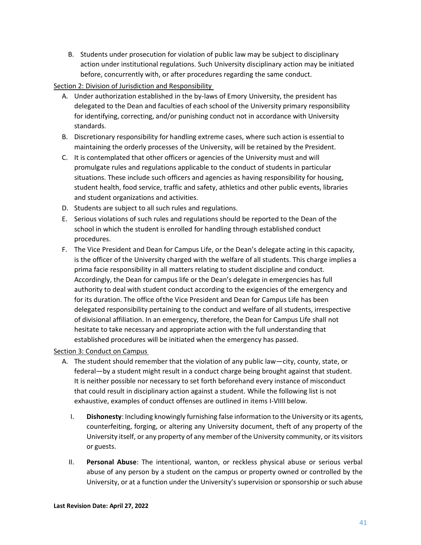B. Students under prosecution for violation of public law may be subject to disciplinary action under institutional regulations. Such University disciplinary action may be initiated before, concurrently with, or after procedures regarding the same conduct.

<span id="page-40-0"></span>Section 2: Division of Jurisdiction and Responsibility

- A. Under authorization established in the by-laws of Emory University, the president has delegated to the Dean and faculties of each school of the University primary responsibility for identifying, correcting, and/or punishing conduct not in accordance with University standards.
- B. Discretionary responsibility for handling extreme cases, where such action is essential to maintaining the orderly processes of the University, will be retained by the President.
- C. It is contemplated that other officers or agencies of the University must and will promulgate rules and regulations applicable to the conduct of students in particular situations. These include such officers and agencies as having responsibility for housing, student health, food service, traffic and safety, athletics and other public events, libraries and student organizations and activities.
- D. Students are subject to all such rules and regulations.
- E. Serious violations of such rules and regulations should be reported to the Dean of the school in which the student is enrolled for handling through established conduct procedures.
- F. The Vice President and Dean for Campus Life, or the Dean's delegate acting in this capacity, is the officer of the University charged with the welfare of all students. This charge implies a prima facie responsibility in all matters relating to student discipline and conduct. Accordingly, the Dean for campus life or the Dean's delegate in emergencies has full authority to deal with student conduct according to the exigencies of the emergency and for its duration. The office ofthe Vice President and Dean for Campus Life has been delegated responsibility pertaining to the conduct and welfare of all students, irrespective of divisional affiliation. In an emergency, therefore, the Dean for Campus Life shall not hesitate to take necessary and appropriate action with the full understanding that established procedures will be initiated when the emergency has passed.

## <span id="page-40-1"></span>Section 3: Conduct on Campus

- A. The student should remember that the violation of any public law—city, county, state, or federal—by a student might result in a conduct charge being brought against that student. It is neither possible nor necessary to set forth beforehand every instance of misconduct that could result in disciplinary action against a student. While the following list is not exhaustive, examples of conduct offenses are outlined in items I-VIIII below.
	- I. **Dishonesty**: Including knowingly furnishing false information to the University or its agents, counterfeiting, forging, or altering any University document, theft of any property of the University itself, or any property of any member of the University community, or its visitors or guests.
	- II. **Personal Abuse**: The intentional, wanton, or reckless physical abuse or serious verbal abuse of any person by a student on the campus or property owned or controlled by the University, or at a function under the University's supervision or sponsorship or such abuse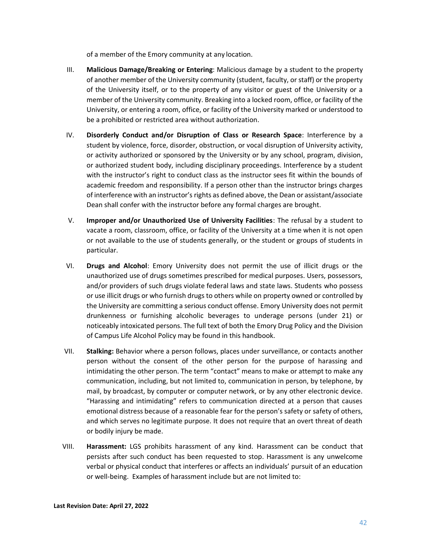of a member of the Emory community at any location.

- III. **Malicious Damage/Breaking or Entering**: Malicious damage by a student to the property of another member of the University community (student, faculty, or staff) or the property of the University itself, or to the property of any visitor or guest of the University or a member of the University community. Breaking into a locked room, office, or facility of the University, or entering a room, office, or facility of the University marked or understood to be a prohibited or restricted area without authorization.
- IV. **Disorderly Conduct and/or Disruption of Class or Research Space**: Interference by a student by violence, force, disorder, obstruction, or vocal disruption of University activity, or activity authorized or sponsored by the University or by any school, program, division, or authorized student body, including disciplinary proceedings. Interference by a student with the instructor's right to conduct class as the instructor sees fit within the bounds of academic freedom and responsibility. If a person other than the instructor brings charges of interference with an instructor's rights as defined above, the Dean or assistant/associate Dean shall confer with the instructor before any formal charges are brought.
- V. **Improper and/or Unauthorized Use of University Facilities**: The refusal by a student to vacate a room, classroom, office, or facility of the University at a time when it is not open or not available to the use of students generally, or the student or groups of students in particular.
- VI. **Drugs and Alcohol**: Emory University does not permit the use of illicit drugs or the unauthorized use of drugs sometimes prescribed for medical purposes. Users, possessors, and/or providers of such drugs violate federal laws and state laws. Students who possess or use illicit drugs or who furnish drugs to others while on property owned or controlled by the University are committing a serious conduct offense. Emory University does not permit drunkenness or furnishing alcoholic beverages to underage persons (under 21) or noticeably intoxicated persons. The full text of both the Emory Drug Policy and the Division of Campus Life Alcohol Policy may be found in this handbook.
- VII. **Stalking:** Behavior where a person follows, places under surveillance, or contacts another person without the consent of the other person for the purpose of harassing and intimidating the other person. The term "contact" means to make or attempt to make any communication, including, but not limited to, communication in person, by telephone, by mail, by broadcast, by computer or computer network, or by any other electronic device. "Harassing and intimidating" refers to communication directed at a person that causes emotional distress because of a reasonable fear for the person's safety or safety of others, and which serves no legitimate purpose. It does not require that an overt threat of death or bodily injury be made.
- VIII. **Harassment:** LGS prohibits harassment of any kind. Harassment can be conduct that persists after such conduct has been requested to stop. Harassment is any unwelcome verbal or physical conduct that interferes or affects an individuals' pursuit of an education or well-being. Examples of harassment include but are not limited to: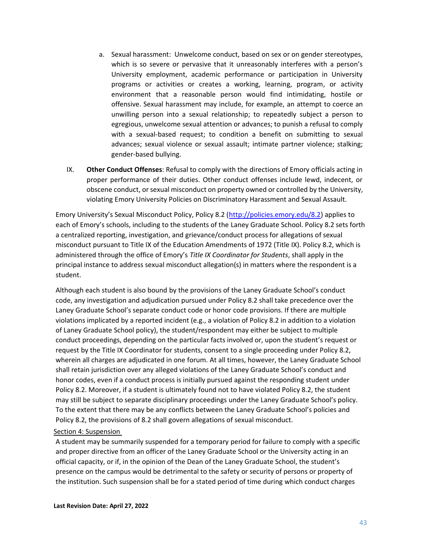- a. Sexual harassment: Unwelcome conduct, based on sex or on gender stereotypes, which is so severe or pervasive that it unreasonably interferes with a person's University employment, academic performance or participation in University programs or activities or creates a working, learning, program, or activity environment that a reasonable person would find intimidating, hostile or offensive. Sexual harassment may include, for example, an attempt to coerce an unwilling person into a sexual relationship; to repeatedly subject a person to egregious, unwelcome sexual attention or advances; to punish a refusal to comply with a sexual-based request; to condition a benefit on submitting to sexual advances; sexual violence or sexual assault; intimate partner violence; stalking; gender-based bullying.
- IX. **Other Conduct Offenses**: Refusal to comply with the directions of Emory officials acting in proper performance of their duties. Other conduct offenses include lewd, indecent, or obscene conduct, or sexual misconduct on property owned or controlled by the University, violating Emory University Policies on Discriminatory Harassment and Sexual Assault.

Emory University's Sexual Misconduct Policy, Policy 8.2 ([http://policies.emory.edu/8.2\)](http://policies.emory.edu/8.2) applies to each of Emory's schools, including to the students of the Laney Graduate School. Policy 8.2 sets forth a centralized reporting, investigation, and grievance/conduct process for allegations of sexual misconduct pursuant to Title IX of the Education Amendments of 1972 (Title IX). Policy 8.2, which is administered through the office of Emory's *Title IX Coordinator for Students*, shall apply in the principal instance to address sexual misconduct allegation(s) in matters where the respondent is a student.

Although each student is also bound by the provisions of the Laney Graduate School's conduct code, any investigation and adjudication pursued under Policy 8.2 shall take precedence over the Laney Graduate School's separate conduct code or honor code provisions. If there are multiple violations implicated by a reported incident (e.g., a violation of Policy 8.2 in addition to a violation of Laney Graduate School policy), the student/respondent may either be subject to multiple conduct proceedings, depending on the particular facts involved or, upon the student's request or request by the Title IX Coordinator for students, consent to a single proceeding under Policy 8.2, wherein all charges are adjudicated in one forum. At all times, however, the Laney Graduate School shall retain jurisdiction over any alleged violations of the Laney Graduate School's conduct and honor codes, even if a conduct process is initially pursued against the responding student under Policy 8.2. Moreover, if a student is ultimately found not to have violated Policy 8.2, the student may still be subject to separate disciplinary proceedings under the Laney Graduate School's policy. To the extent that there may be any conflicts between the Laney Graduate School's policies and Policy 8.2, the provisions of 8.2 shall govern allegations of sexual misconduct.

#### <span id="page-42-0"></span>Section 4: Suspension

A student may be summarily suspended for a temporary period for failure to comply with a specific and proper directive from an officer of the Laney Graduate School or the University acting in an official capacity, or if, in the opinion of the Dean of the Laney Graduate School, the student's presence on the campus would be detrimental to the safety or security of persons or property of the institution. Such suspension shall be for a stated period of time during which conduct charges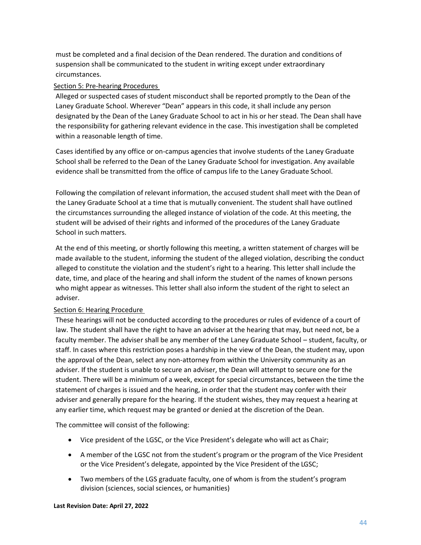must be completed and a final decision of the Dean rendered. The duration and conditions of suspension shall be communicated to the student in writing except under extraordinary circumstances.

#### <span id="page-43-0"></span>Section 5: Pre-hearing Procedures

Alleged or suspected cases of student misconduct shall be reported promptly to the Dean of the Laney Graduate School. Wherever "Dean" appears in this code, it shall include any person designated by the Dean of the Laney Graduate School to act in his or her stead. The Dean shall have the responsibility for gathering relevant evidence in the case. This investigation shall be completed within a reasonable length of time.

Cases identified by any office or on-campus agencies that involve students of the Laney Graduate School shall be referred to the Dean of the Laney Graduate School for investigation. Any available evidence shall be transmitted from the office of campus life to the Laney Graduate School.

Following the compilation of relevant information, the accused student shall meet with the Dean of the Laney Graduate School at a time that is mutually convenient. The student shall have outlined the circumstances surrounding the alleged instance of violation of the code. At this meeting, the student will be advised of their rights and informed of the procedures of the Laney Graduate School in such matters.

At the end of this meeting, or shortly following this meeting, a written statement of charges will be made available to the student, informing the student of the alleged violation, describing the conduct alleged to constitute the violation and the student's right to a hearing. This letter shall include the date, time, and place of the hearing and shall inform the student of the names of known persons who might appear as witnesses. This letter shall also inform the student of the right to select an adviser.

## <span id="page-43-1"></span>Section 6: Hearing Procedure

These hearings will not be conducted according to the procedures or rules of evidence of a court of law. The student shall have the right to have an adviser at the hearing that may, but need not, be a faculty member. The adviser shall be any member of the Laney Graduate School – student, faculty, or staff. In cases where this restriction poses a hardship in the view of the Dean, the student may, upon the approval of the Dean, select any non-attorney from within the University community as an adviser. If the student is unable to secure an adviser, the Dean will attempt to secure one for the student. There will be a minimum of a week, except for special circumstances, between the time the statement of charges is issued and the hearing, in order that the student may confer with their adviser and generally prepare for the hearing. If the student wishes, they may request a hearing at any earlier time, which request may be granted or denied at the discretion of the Dean.

The committee will consist of the following:

- Vice president of the LGSC, or the Vice President's delegate who will act as Chair;
- A member of the LGSC not from the student's program or the program of the Vice President or the Vice President's delegate, appointed by the Vice President of the LGSC;
- Two members of the LGS graduate faculty, one of whom is from the student's program division (sciences, social sciences, or humanities)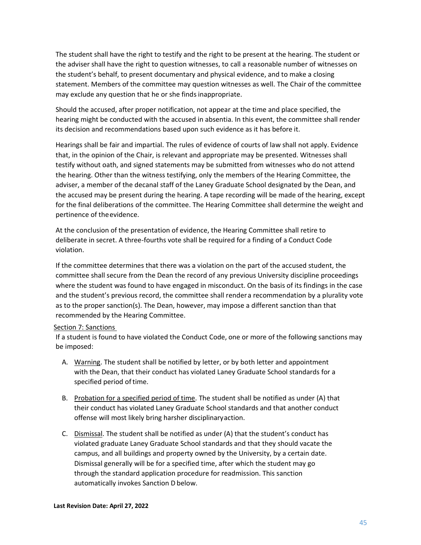The student shall have the right to testify and the right to be present at the hearing. The student or the adviser shall have the right to question witnesses, to call a reasonable number of witnesses on the student's behalf, to present documentary and physical evidence, and to make a closing statement. Members of the committee may question witnesses as well. The Chair of the committee may exclude any question that he or she finds inappropriate.

Should the accused, after proper notification, not appear at the time and place specified, the hearing might be conducted with the accused in absentia. In this event, the committee shall render its decision and recommendations based upon such evidence as it has before it.

Hearings shall be fair and impartial. The rules of evidence of courts of law shall not apply. Evidence that, in the opinion of the Chair, is relevant and appropriate may be presented. Witnesses shall testify without oath, and signed statements may be submitted from witnesses who do not attend the hearing. Other than the witness testifying, only the members of the Hearing Committee, the adviser, a member of the decanal staff of the Laney Graduate School designated by the Dean, and the accused may be present during the hearing. A tape recording will be made of the hearing, except for the final deliberations of the committee. The Hearing Committee shall determine the weight and pertinence of theevidence.

At the conclusion of the presentation of evidence, the Hearing Committee shall retire to deliberate in secret. A three-fourths vote shall be required for a finding of a Conduct Code violation.

If the committee determines that there was a violation on the part of the accused student, the committee shall secure from the Dean the record of any previous University discipline proceedings where the student was found to have engaged in misconduct. On the basis of its findings in the case and the student's previous record, the committee shall rendera recommendation by a plurality vote as to the proper sanction(s). The Dean, however, may impose a different sanction than that recommended by the Hearing Committee.

#### <span id="page-44-0"></span>Section 7: Sanctions

If a student is found to have violated the Conduct Code, one or more of the following sanctions may be imposed:

- A. Warning. The student shall be notified by letter, or by both letter and appointment with the Dean, that their conduct has violated Laney Graduate School standards for a specified period oftime.
- B. Probation for a specified period of time. The student shall be notified as under (A) that their conduct has violated Laney Graduate School standards and that another conduct offense will most likely bring harsher disciplinaryaction.
- C. Dismissal. The student shall be notified as under (A) that the student's conduct has violated graduate Laney Graduate School standards and that they should vacate the campus, and all buildings and property owned by the University, by a certain date. Dismissal generally will be for a specified time, after which the student may go through the standard application procedure for readmission. This sanction automatically invokes Sanction D below.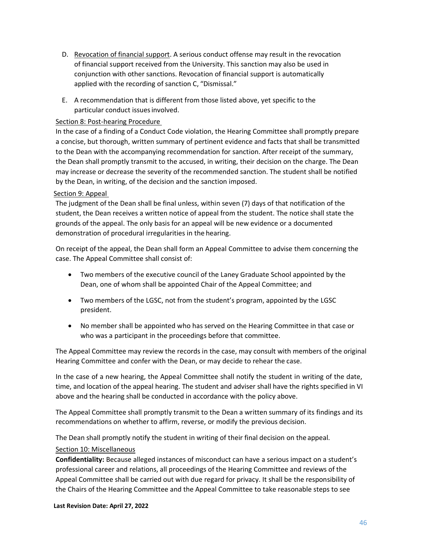- D. Revocation of financial support. A serious conduct offense may result in the revocation of financial support received from the University. This sanction may also be used in conjunction with other sanctions. Revocation of financial support is automatically applied with the recording of sanction C, "Dismissal."
- E. A recommendation that is different from those listed above, yet specific to the particular conduct issues involved.

#### <span id="page-45-0"></span>Section 8: Post-hearing Procedure

In the case of a finding of a Conduct Code violation, the Hearing Committee shall promptly prepare a concise, but thorough, written summary of pertinent evidence and facts that shall be transmitted to the Dean with the accompanying recommendation for sanction. After receipt of the summary, the Dean shall promptly transmit to the accused, in writing, their decision on the charge. The Dean may increase or decrease the severity of the recommended sanction. The student shall be notified by the Dean, in writing, of the decision and the sanction imposed.

#### <span id="page-45-1"></span>Section 9: Appeal

The judgment of the Dean shall be final unless, within seven (7) days of that notification of the student, the Dean receives a written notice of appeal from the student. The notice shall state the grounds of the appeal. The only basis for an appeal will be new evidence or a documented demonstration of procedural irregularities in the hearing.

On receipt of the appeal, the Dean shall form an Appeal Committee to advise them concerning the case. The Appeal Committee shall consist of:

- Two members of the executive council of the Laney Graduate School appointed by the Dean, one of whom shall be appointed Chair of the Appeal Committee; and
- Two members of the LGSC, not from the student's program, appointed by the LGSC president.
- No member shall be appointed who has served on the Hearing Committee in that case or who was a participant in the proceedings before that committee.

The Appeal Committee may review the records in the case, may consult with members of the original Hearing Committee and confer with the Dean, or may decide to rehear the case.

In the case of a new hearing, the Appeal Committee shall notify the student in writing of the date, time, and location of the appeal hearing. The student and adviser shall have the rights specified in VI above and the hearing shall be conducted in accordance with the policy above.

The Appeal Committee shall promptly transmit to the Dean a written summary of its findings and its recommendations on whether to affirm, reverse, or modify the previous decision.

The Dean shall promptly notify the student in writing of their final decision on the appeal.

#### <span id="page-45-2"></span>Section 10: Miscellaneous

**Confidentiality:** Because alleged instances of misconduct can have a serious impact on a student's professional career and relations, all proceedings of the Hearing Committee and reviews of the Appeal Committee shall be carried out with due regard for privacy. It shall be the responsibility of the Chairs of the Hearing Committee and the Appeal Committee to take reasonable steps to see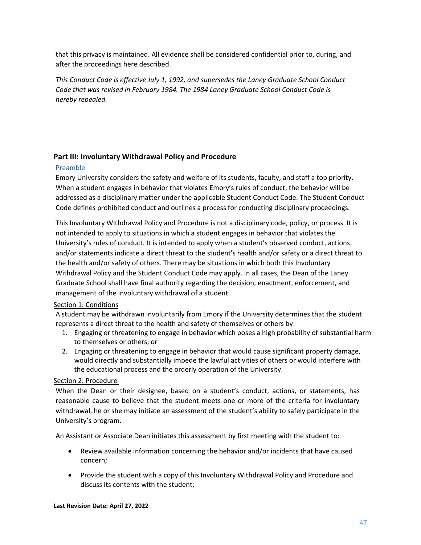that this privacy is maintained. All evidence shall be considered confidential prior to, during, and after the proceedings here described.

*This Conduct Code is effective July 1, 1992, and supersedes the Laney Graduate School Conduct Code that was revised in February 1984. The 1984 Laney Graduate School Conduct Code is hereby repealed.*

## <span id="page-46-0"></span>**Part III: Involuntary Withdrawal Policy and Procedure**

## <span id="page-46-1"></span>Preamble

Emory University considers the safety and welfare of its students, faculty, and staff a top priority. When a student engages in behavior that violates Emory's rules of conduct, the behavior will be addressed as a disciplinary matter under the applicable Student Conduct Code. The Student Conduct Code defines prohibited conduct and outlines a process for conducting disciplinary proceedings.

This Involuntary Withdrawal Policy and Procedure is not a disciplinary code, policy, or process. It is not intended to apply to situations in which a student engages in behavior that violates the University's rules of conduct. It is intended to apply when a student's observed conduct, actions, and/or statements indicate a direct threat to the student's health and/or safety or a direct threat to the health and/or safety of others. There may be situations in which both this Involuntary Withdrawal Policy and the Student Conduct Code may apply. In all cases, the Dean of the Laney Graduate School shall have final authority regarding the decision, enactment, enforcement, and management of the involuntary withdrawal of a student.

## <span id="page-46-2"></span>Section 1: Conditions

A student may be withdrawn involuntarily from Emory if the University determines that the student represents a direct threat to the health and safety of themselves or others by:

- 1. Engaging or threatening to engage in behavior which poses a high probability of substantial harm to themselves or others; or
- 2. Engaging or threatening to engage in behavior that would cause significant property damage, would directly and substantially impede the lawful activities of others or would interfere with the educational process and the orderly operation of the University.

## <span id="page-46-3"></span>Section 2: Procedure

When the Dean or their designee, based on a student's conduct, actions, or statements, has reasonable cause to believe that the student meets one or more of the criteria for involuntary withdrawal, he or she may initiate an assessment of the student's ability to safely participate in the University's program.

An Assistant or Associate Dean initiates this assessment by first meeting with the student to:

- Review available information concerning the behavior and/or incidents that have caused concern;
- Provide the student with a copy of this Involuntary Withdrawal Policy and Procedure and discuss its contents with the student;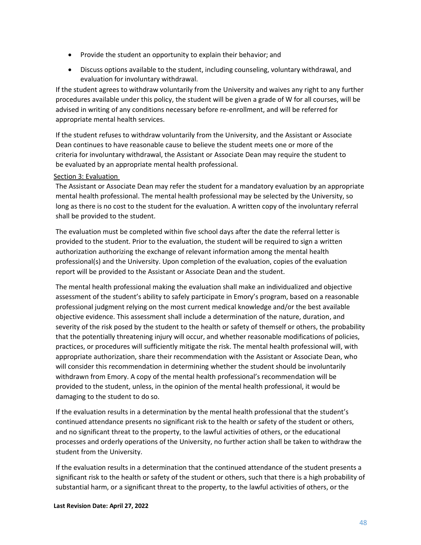- Provide the student an opportunity to explain their behavior; and
- Discuss options available to the student, including counseling, voluntary withdrawal, and evaluation for involuntary withdrawal.

If the student agrees to withdraw voluntarily from the University and waives any right to any further procedures available under this policy, the student will be given a grade of W for all courses, will be advised in writing of any conditions necessary before re-enrollment, and will be referred for appropriate mental health services.

If the student refuses to withdraw voluntarily from the University, and the Assistant or Associate Dean continues to have reasonable cause to believe the student meets one or more of the criteria for involuntary withdrawal, the Assistant or Associate Dean may require the student to be evaluated by an appropriate mental health professional.

#### <span id="page-47-0"></span>Section 3: Evaluation

The Assistant or Associate Dean may refer the student for a mandatory evaluation by an appropriate mental health professional. The mental health professional may be selected by the University, so long as there is no cost to the student for the evaluation. A written copy of the involuntary referral shall be provided to the student.

The evaluation must be completed within five school days after the date the referral letter is provided to the student. Prior to the evaluation, the student will be required to sign a written authorization authorizing the exchange of relevant information among the mental health professional(s) and the University. Upon completion of the evaluation, copies of the evaluation report will be provided to the Assistant or Associate Dean and the student.

The mental health professional making the evaluation shall make an individualized and objective assessment of the student's ability to safely participate in Emory's program, based on a reasonable professional judgment relying on the most current medical knowledge and/or the best available objective evidence. This assessment shall include a determination of the nature, duration, and severity of the risk posed by the student to the health or safety of themself or others, the probability that the potentially threatening injury will occur, and whether reasonable modifications of policies, practices, or procedures will sufficiently mitigate the risk. The mental health professional will, with appropriate authorization, share their recommendation with the Assistant or Associate Dean, who will consider this recommendation in determining whether the student should be involuntarily withdrawn from Emory. A copy of the mental health professional's recommendation will be provided to the student, unless, in the opinion of the mental health professional, it would be damaging to the student to do so.

If the evaluation results in a determination by the mental health professional that the student's continued attendance presents no significant risk to the health or safety of the student or others, and no significant threat to the property, to the lawful activities of others, or the educational processes and orderly operations of the University, no further action shall be taken to withdraw the student from the University.

If the evaluation results in a determination that the continued attendance of the student presents a significant risk to the health or safety of the student or others, such that there is a high probability of substantial harm, or a significant threat to the property, to the lawful activities of others, or the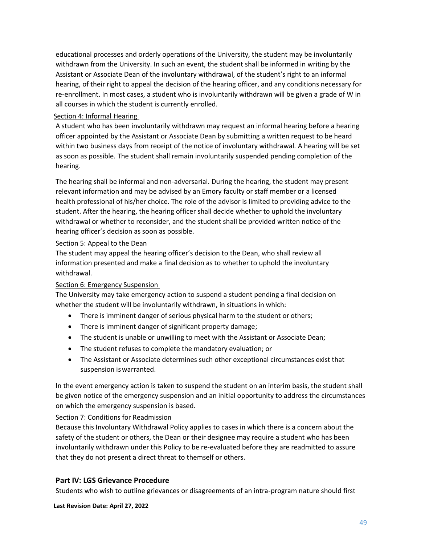educational processes and orderly operations of the University, the student may be involuntarily withdrawn from the University. In such an event, the student shall be informed in writing by the Assistant or Associate Dean of the involuntary withdrawal, of the student's right to an informal hearing, of their right to appeal the decision of the hearing officer, and any conditions necessary for re-enrollment. In most cases, a student who is involuntarily withdrawn will be given a grade of W in all courses in which the student is currently enrolled.

## <span id="page-48-0"></span>Section 4: Informal Hearing

A student who has been involuntarily withdrawn may request an informal hearing before a hearing officer appointed by the Assistant or Associate Dean by submitting a written request to be heard within two business days from receipt of the notice of involuntary withdrawal. A hearing will be set as soon as possible. The student shall remain involuntarily suspended pending completion of the hearing.

The hearing shall be informal and non-adversarial. During the hearing, the student may present relevant information and may be advised by an Emory faculty or staff member or a licensed health professional of his/her choice. The role of the advisor is limited to providing advice to the student. After the hearing, the hearing officer shall decide whether to uphold the involuntary withdrawal or whether to reconsider, and the student shall be provided written notice of the hearing officer's decision as soon as possible.

#### <span id="page-48-1"></span>Section 5: Appeal to the Dean

The student may appeal the hearing officer's decision to the Dean, who shall review all information presented and make a final decision as to whether to uphold the involuntary withdrawal.

#### <span id="page-48-2"></span>Section 6: Emergency Suspension

The University may take emergency action to suspend a student pending a final decision on whether the student will be involuntarily withdrawn, in situations in which:

- There is imminent danger of serious physical harm to the student or others;
- There is imminent danger of significant property damage;
- The student is unable or unwilling to meet with the Assistant or Associate Dean;
- The student refuses to complete the mandatory evaluation; or
- The Assistant or Associate determines such other exceptional circumstances exist that suspension iswarranted.

In the event emergency action is taken to suspend the student on an interim basis, the student shall be given notice of the emergency suspension and an initial opportunity to address the circumstances on which the emergency suspension is based.

#### <span id="page-48-3"></span>Section 7: Conditions for Readmission

Because this Involuntary Withdrawal Policy applies to cases in which there is a concern about the safety of the student or others, the Dean or their designee may require a student who has been involuntarily withdrawn under this Policy to be re-evaluated before they are readmitted to assure that they do not present a direct threat to themself or others.

## <span id="page-48-4"></span>**Part IV: LGS Grievance Procedure**

Students who wish to outline grievances or disagreements of an intra-program nature should first

**Last Revision Date: April 27, 2022**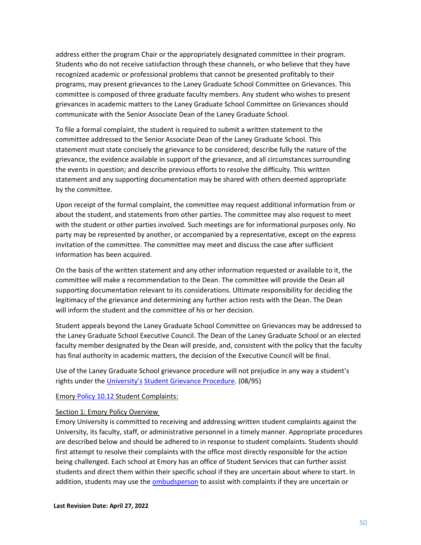address either the program Chair or the appropriately designated committee in their program. Students who do not receive satisfaction through these channels, or who believe that they have recognized academic or professional problems that cannot be presented profitably to their programs, may present grievances to the Laney Graduate School Committee on Grievances. This committee is composed of three graduate faculty members. Any student who wishes to present grievances in academic matters to the Laney Graduate School Committee on Grievances should communicate with the Senior Associate Dean of the Laney Graduate School.

To file a formal complaint, the student is required to submit a written statement to the committee addressed to the Senior Associate Dean of the Laney Graduate School. This statement must state concisely the grievance to be considered; describe fully the nature of the grievance, the evidence available in support of the grievance, and all circumstances surrounding the events in question; and describe previous efforts to resolve the difficulty. This written statement and any supporting documentation may be shared with others deemed appropriate by the committee.

Upon receipt of the formal complaint, the committee may request additional information from or about the student, and statements from other parties. The committee may also request to meet with the student or other parties involved. Such meetings are for informational purposes only. No party may be represented by another, or accompanied by a representative, except on the express invitation of the committee. The committee may meet and discuss the case after sufficient information has been acquired.

On the basis of the written statement and any other information requested or available to it, the committee will make a recommendation to the Dean. The committee will provide the Dean all supporting documentation relevant to its considerations. Ultimate responsibility for deciding the legitimacy of the grievance and determining any further action rests with the Dean. The Dean will inform the student and the committee of his or her decision.

Student appeals beyond the Laney Graduate School Committee on Grievances may be addressed to the Laney Graduate School Executive Council. The Dean of the Laney Graduate School or an elected faculty member designated by the Dean will preside, and, consistent with the policy that the faculty has final authority in academic matters, the decision of the Executive Council will be final.

Use of the Laney Graduate School grievance procedure will not prejudice in any way a student's rights under the [University's](http://policies.emory.edu/8.6) [Student Grievance Procedure. \(](http://policies.emory.edu/8.6)08/95)

#### <span id="page-49-0"></span>Emory [Policy 10.12](https://emory.ellucid.com/documents/view/17609/?security=481f3bc9642d299f207fa5ff46cdff6244ddea66) Student Complaints:

#### <span id="page-49-1"></span>Section 1: Emory Policy Overview

Emory University is committed to receiving and addressing written student complaints against the University, its faculty, staff, or administrative personnel in a timely manner. Appropriate procedures are described below and should be adhered to in response to student complaints. Students should first attempt to resolve their complaints with the office most directly responsible for the action being challenged. Each school at Emory has an office of Student Services that can further assist students and direct them within their specific school if they are uncertain about where to start. In addition, students may use the [ombudsperson](http://ombudsperson.emory.edu/index.html) to assist with complaints if they are uncertain or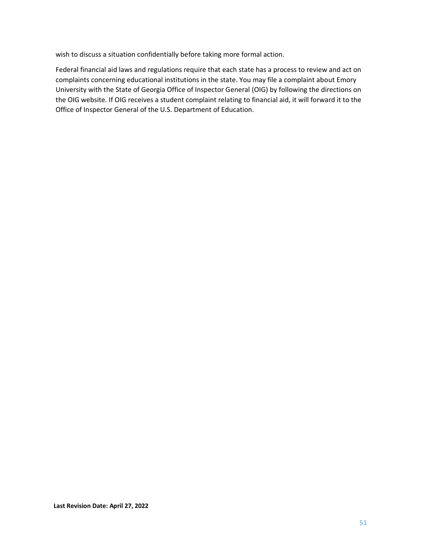wish to discuss a situation confidentially before taking more formal action.

Federal financial aid laws and regulations require that each state has a process to review and act on complaints concerning educational institutions in the state. You may file a complaint about Emory University with the State of Georgia Office of Inspector General (OIG) by following the directions on the OIG website. If OIG receives a student complaint relating to financial aid, it will forward it to the Office of Inspector General of the U.S. Department of Education.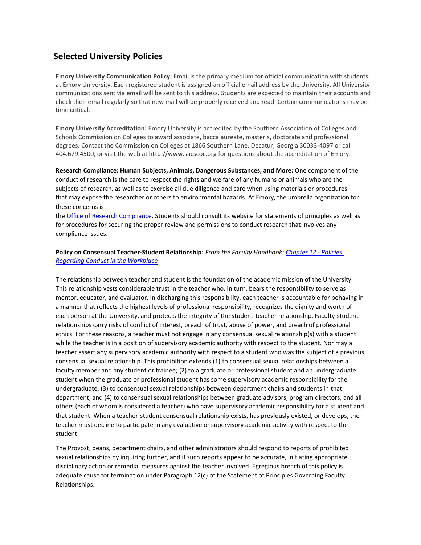## <span id="page-51-0"></span>**Selected University Policies**

**Emory University Communication Policy**: Email is the primary medium for official communication with students at Emory University. Each registered student is assigned an official email address by the University. All University communications sent via email will be sent to this address. Students are expected to maintain their accounts and check their email regularly so that new mail will be properly received and read. Certain communications may be time critical.

**Emory University Accreditation:** Emory University is accredited by the Southern Association of Colleges and Schools Commission on Colleges to award associate, baccalaureate, master's, doctorate and professional degrees. Contact the Commission on Colleges at 1866 Southern Lane, Decatur, Georgia 30033-4097 or call 404.679.4500, or visit the web at http://www.sacscoc.org for questions about the accreditation of Emory.

**Research Compliance: Human Subjects, Animals, Dangerous Substances, and More:** One component of the conduct of research is the care to respect the rights and welfare of any humans or animals who are the subjects of research, as well as to exercise all due diligence and care when using materials or procedures that may expose the researcher or others to environmental hazards. At Emory, the umbrella organization for these concerns is

the [Office of Research Compliance. S](http://compliance.emory.edu/)tudents should consult its website for statements of principles as well as for procedures for securing the proper review and permissions to conduct research that involves any compliance issues.

#### **Policy on Consensual Teacher-Student Relationship:** *From the Faculty Handbook[: Chapter 12 -](http://provost.emory.edu/faculty/handbook/chapters/twelve.html) Policies [Regarding Conduct in the Workplace](http://provost.emory.edu/faculty/handbook/chapters/twelve.html)*

The relationship between teacher and student is the foundation of the academic mission of the University. This relationship vests considerable trust in the teacher who, in turn, bears the responsibility to serve as mentor, educator, and evaluator. In discharging this responsibility, each teacher is accountable for behaving in a manner that reflects the highest levels of professional responsibility, recognizes the dignity and worth of each person at the University, and protects the integrity of the student-teacher relationship. Faculty-student relationships carry risks of conflict of interest, breach of trust, abuse of power, and breach of professional ethics. For these reasons, a teacher must not engage in any consensual sexual relationship(s) with a student while the teacher is in a position of supervisory academic authority with respect to the student. Nor may a teacher assert any supervisory academic authority with respect to a student who was the subject of a previous consensual sexual relationship. This prohibition extends (1) to consensual sexual relationships between a faculty member and any student or trainee; (2) to a graduate or professional student and an undergraduate student when the graduate or professional student has some supervisory academic responsibility for the undergraduate, (3) to consensual sexual relationships between department chairs and students in that department, and (4) to consensual sexual relationships between graduate advisors, program directors, and all others (each of whom is considered a teacher) who have supervisory academic responsibility for a student and that student. When a teacher-student consensual relationship exists, has previously existed, or develops, the teacher must decline to participate in any evaluative or supervisory academic activity with respect to the student.

The Provost, deans, department chairs, and other administrators should respond to reports of prohibited sexual relationships by inquiring further, and if such reports appear to be accurate, initiating appropriate disciplinary action or remedial measures against the teacher involved. Egregious breach of this policy is adequate cause for termination under Paragraph 12(c) of the Statement of Principles Governing Faculty Relationships.